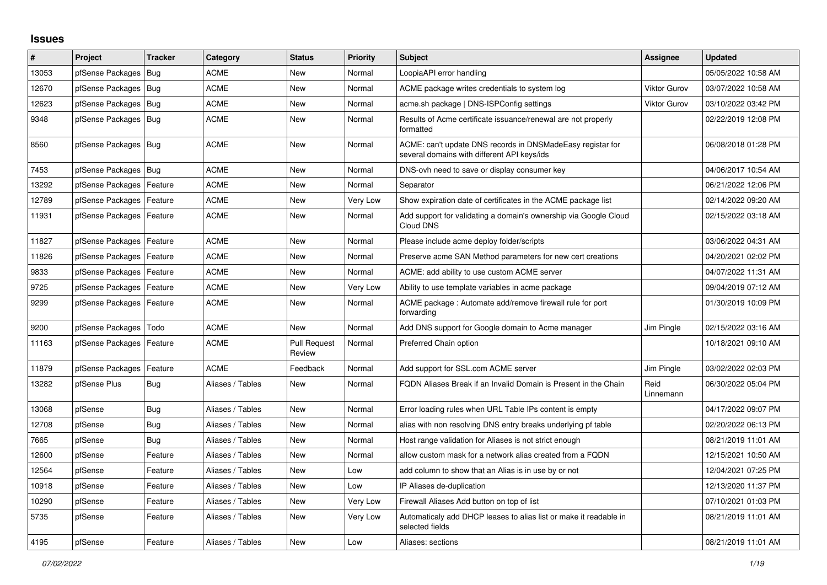## **Issues**

| #     | Project                    | <b>Tracker</b> | Category         | <b>Status</b>                 | <b>Priority</b> | <b>Subject</b>                                                                                            | Assignee            | <b>Updated</b>      |
|-------|----------------------------|----------------|------------------|-------------------------------|-----------------|-----------------------------------------------------------------------------------------------------------|---------------------|---------------------|
| 13053 | pfSense Packages           | Bug            | <b>ACME</b>      | <b>New</b>                    | Normal          | LoopiaAPI error handling                                                                                  |                     | 05/05/2022 10:58 AM |
| 12670 | pfSense Packages           | Bug            | <b>ACME</b>      | <b>New</b>                    | Normal          | ACME package writes credentials to system log                                                             | <b>Viktor Gurov</b> | 03/07/2022 10:58 AM |
| 12623 | pfSense Packages           | Bug            | <b>ACME</b>      | <b>New</b>                    | Normal          | acme.sh package   DNS-ISPConfig settings                                                                  | <b>Viktor Gurov</b> | 03/10/2022 03:42 PM |
| 9348  | pfSense Packages           | Bug            | ACME             | New                           | Normal          | Results of Acme certificate issuance/renewal are not properly<br>formatted                                |                     | 02/22/2019 12:08 PM |
| 8560  | pfSense Packages   Bug     |                | <b>ACME</b>      | <b>New</b>                    | Normal          | ACME: can't update DNS records in DNSMadeEasy registar for<br>several domains with different API keys/ids |                     | 06/08/2018 01:28 PM |
| 7453  | pfSense Packages           | Bua            | <b>ACME</b>      | <b>New</b>                    | Normal          | DNS-ovh need to save or display consumer key                                                              |                     | 04/06/2017 10:54 AM |
| 13292 | pfSense Packages           | Feature        | ACME             | <b>New</b>                    | Normal          | Separator                                                                                                 |                     | 06/21/2022 12:06 PM |
| 12789 | pfSense Packages           | Feature        | ACME             | <b>New</b>                    | Very Low        | Show expiration date of certificates in the ACME package list                                             |                     | 02/14/2022 09:20 AM |
| 11931 | pfSense Packages   Feature |                | <b>ACME</b>      | <b>New</b>                    | Normal          | Add support for validating a domain's ownership via Google Cloud<br>Cloud DNS                             |                     | 02/15/2022 03:18 AM |
| 11827 | pfSense Packages           | Feature        | <b>ACME</b>      | <b>New</b>                    | Normal          | Please include acme deploy folder/scripts                                                                 |                     | 03/06/2022 04:31 AM |
| 11826 | pfSense Packages           | Feature        | ACME             | <b>New</b>                    | Normal          | Preserve acme SAN Method parameters for new cert creations                                                |                     | 04/20/2021 02:02 PM |
| 9833  | pfSense Packages           | Feature        | ACME             | <b>New</b>                    | Normal          | ACME: add ability to use custom ACME server                                                               |                     | 04/07/2022 11:31 AM |
| 9725  | pfSense Packages           | Feature        | <b>ACME</b>      | <b>New</b>                    | Very Low        | Ability to use template variables in acme package                                                         |                     | 09/04/2019 07:12 AM |
| 9299  | pfSense Packages           | Feature        | <b>ACME</b>      | <b>New</b>                    | Normal          | ACME package: Automate add/remove firewall rule for port<br>forwarding                                    |                     | 01/30/2019 10:09 PM |
| 9200  | pfSense Packages           | Todo           | <b>ACME</b>      | <b>New</b>                    | Normal          | Add DNS support for Google domain to Acme manager                                                         | Jim Pingle          | 02/15/2022 03:16 AM |
| 11163 | pfSense Packages           | Feature        | <b>ACME</b>      | <b>Pull Request</b><br>Review | Normal          | Preferred Chain option                                                                                    |                     | 10/18/2021 09:10 AM |
| 11879 | pfSense Packages           | Feature        | <b>ACME</b>      | Feedback                      | Normal          | Add support for SSL.com ACME server                                                                       | Jim Pingle          | 03/02/2022 02:03 PM |
| 13282 | pfSense Plus               | Bug            | Aliases / Tables | <b>New</b>                    | Normal          | FQDN Aliases Break if an Invalid Domain is Present in the Chain                                           | Reid<br>Linnemann   | 06/30/2022 05:04 PM |
| 13068 | pfSense                    | Bug            | Aliases / Tables | <b>New</b>                    | Normal          | Error loading rules when URL Table IPs content is empty                                                   |                     | 04/17/2022 09:07 PM |
| 12708 | pfSense                    | <b>Bug</b>     | Aliases / Tables | New                           | Normal          | alias with non resolving DNS entry breaks underlying pf table                                             |                     | 02/20/2022 06:13 PM |
| 7665  | pfSense                    | Bug            | Aliases / Tables | <b>New</b>                    | Normal          | Host range validation for Aliases is not strict enough                                                    |                     | 08/21/2019 11:01 AM |
| 12600 | pfSense                    | Feature        | Aliases / Tables | New                           | Normal          | allow custom mask for a network alias created from a FQDN                                                 |                     | 12/15/2021 10:50 AM |
| 12564 | pfSense                    | Feature        | Aliases / Tables | New                           | Low             | add column to show that an Alias is in use by or not                                                      |                     | 12/04/2021 07:25 PM |
| 10918 | pfSense                    | Feature        | Aliases / Tables | <b>New</b>                    | Low             | IP Aliases de-duplication                                                                                 |                     | 12/13/2020 11:37 PM |
| 10290 | pfSense                    | Feature        | Aliases / Tables | <b>New</b>                    | Very Low        | Firewall Aliases Add button on top of list                                                                |                     | 07/10/2021 01:03 PM |
| 5735  | pfSense                    | Feature        | Aliases / Tables | <b>New</b>                    | Very Low        | Automaticaly add DHCP leases to alias list or make it readable in<br>selected fields                      |                     | 08/21/2019 11:01 AM |
| 4195  | pfSense                    | Feature        | Aliases / Tables | <b>New</b>                    | Low             | Aliases: sections                                                                                         |                     | 08/21/2019 11:01 AM |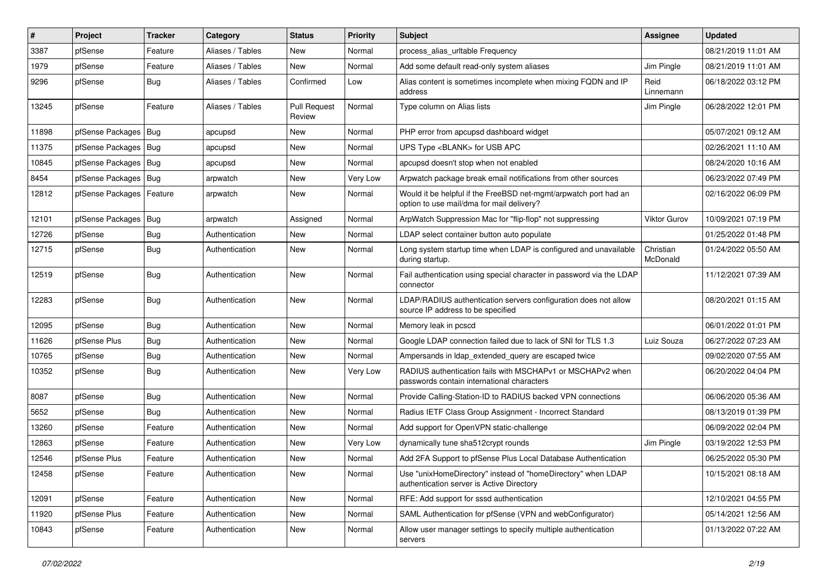| $\vert$ # | Project                | <b>Tracker</b> | Category         | <b>Status</b>                 | <b>Priority</b> | Subject                                                                                                       | <b>Assignee</b>       | <b>Updated</b>      |
|-----------|------------------------|----------------|------------------|-------------------------------|-----------------|---------------------------------------------------------------------------------------------------------------|-----------------------|---------------------|
| 3387      | pfSense                | Feature        | Aliases / Tables | New                           | Normal          | process_alias_urItable Frequency                                                                              |                       | 08/21/2019 11:01 AM |
| 1979      | pfSense                | Feature        | Aliases / Tables | <b>New</b>                    | Normal          | Add some default read-only system aliases                                                                     | Jim Pingle            | 08/21/2019 11:01 AM |
| 9296      | pfSense                | Bug            | Aliases / Tables | Confirmed                     | Low             | Alias content is sometimes incomplete when mixing FQDN and IP<br>address                                      | Reid<br>Linnemann     | 06/18/2022 03:12 PM |
| 13245     | pfSense                | Feature        | Aliases / Tables | <b>Pull Request</b><br>Review | Normal          | Type column on Alias lists                                                                                    | Jim Pingle            | 06/28/2022 12:01 PM |
| 11898     | pfSense Packages   Bug |                | apcupsd          | New                           | Normal          | PHP error from apcupsd dashboard widget                                                                       |                       | 05/07/2021 09:12 AM |
| 11375     | pfSense Packages       | Bug            | apcupsd          | New                           | Normal          | UPS Type <blank> for USB APC</blank>                                                                          |                       | 02/26/2021 11:10 AM |
| 10845     | pfSense Packages   Bug |                | apcupsd          | New                           | Normal          | apcupsd doesn't stop when not enabled                                                                         |                       | 08/24/2020 10:16 AM |
| 8454      | pfSense Packages   Bug |                | arpwatch         | New                           | Very Low        | Arpwatch package break email notifications from other sources                                                 |                       | 06/23/2022 07:49 PM |
| 12812     | pfSense Packages       | Feature        | arpwatch         | New                           | Normal          | Would it be helpful if the FreeBSD net-mgmt/arpwatch port had an<br>option to use mail/dma for mail delivery? |                       | 02/16/2022 06:09 PM |
| 12101     | pfSense Packages       | Bug            | arpwatch         | Assigned                      | Normal          | ArpWatch Suppression Mac for "flip-flop" not suppressing                                                      | Viktor Gurov          | 10/09/2021 07:19 PM |
| 12726     | pfSense                | <b>Bug</b>     | Authentication   | New                           | Normal          | LDAP select container button auto populate                                                                    |                       | 01/25/2022 01:48 PM |
| 12715     | pfSense                | Bug            | Authentication   | New                           | Normal          | Long system startup time when LDAP is configured and unavailable<br>during startup.                           | Christian<br>McDonald | 01/24/2022 05:50 AM |
| 12519     | pfSense                | <b>Bug</b>     | Authentication   | New                           | Normal          | Fail authentication using special character in password via the LDAP<br>connector                             |                       | 11/12/2021 07:39 AM |
| 12283     | pfSense                | <b>Bug</b>     | Authentication   | New                           | Normal          | LDAP/RADIUS authentication servers configuration does not allow<br>source IP address to be specified          |                       | 08/20/2021 01:15 AM |
| 12095     | pfSense                | <b>Bug</b>     | Authentication   | <b>New</b>                    | Normal          | Memory leak in pcscd                                                                                          |                       | 06/01/2022 01:01 PM |
| 11626     | pfSense Plus           | <b>Bug</b>     | Authentication   | New                           | Normal          | Google LDAP connection failed due to lack of SNI for TLS 1.3                                                  | Luiz Souza            | 06/27/2022 07:23 AM |
| 10765     | pfSense                | <b>Bug</b>     | Authentication   | <b>New</b>                    | Normal          | Ampersands in Idap_extended_query are escaped twice                                                           |                       | 09/02/2020 07:55 AM |
| 10352     | pfSense                | <b>Bug</b>     | Authentication   | New                           | Very Low        | RADIUS authentication fails with MSCHAPv1 or MSCHAPv2 when<br>passwords contain international characters      |                       | 06/20/2022 04:04 PM |
| 8087      | pfSense                | <b>Bug</b>     | Authentication   | New                           | Normal          | Provide Calling-Station-ID to RADIUS backed VPN connections                                                   |                       | 06/06/2020 05:36 AM |
| 5652      | pfSense                | Bug            | Authentication   | <b>New</b>                    | Normal          | Radius IETF Class Group Assignment - Incorrect Standard                                                       |                       | 08/13/2019 01:39 PM |
| 13260     | pfSense                | Feature        | Authentication   | New                           | Normal          | Add support for OpenVPN static-challenge                                                                      |                       | 06/09/2022 02:04 PM |
| 12863     | pfSense                | Feature        | Authentication   | New                           | Very Low        | dynamically tune sha512crypt rounds                                                                           | Jim Pingle            | 03/19/2022 12:53 PM |
| 12546     | pfSense Plus           | Feature        | Authentication   | <b>New</b>                    | Normal          | Add 2FA Support to pfSense Plus Local Database Authentication                                                 |                       | 06/25/2022 05:30 PM |
| 12458     | pfSense                | Feature        | Authentication   | New                           | Normal          | Use "unixHomeDirectory" instead of "homeDirectory" when LDAP<br>authentication server is Active Directory     |                       | 10/15/2021 08:18 AM |
| 12091     | pfSense                | Feature        | Authentication   | New                           | Normal          | RFE: Add support for sssd authentication                                                                      |                       | 12/10/2021 04:55 PM |
| 11920     | pfSense Plus           | Feature        | Authentication   | New                           | Normal          | SAML Authentication for pfSense (VPN and webConfigurator)                                                     |                       | 05/14/2021 12:56 AM |
| 10843     | pfSense                | Feature        | Authentication   | New                           | Normal          | Allow user manager settings to specify multiple authentication<br>servers                                     |                       | 01/13/2022 07:22 AM |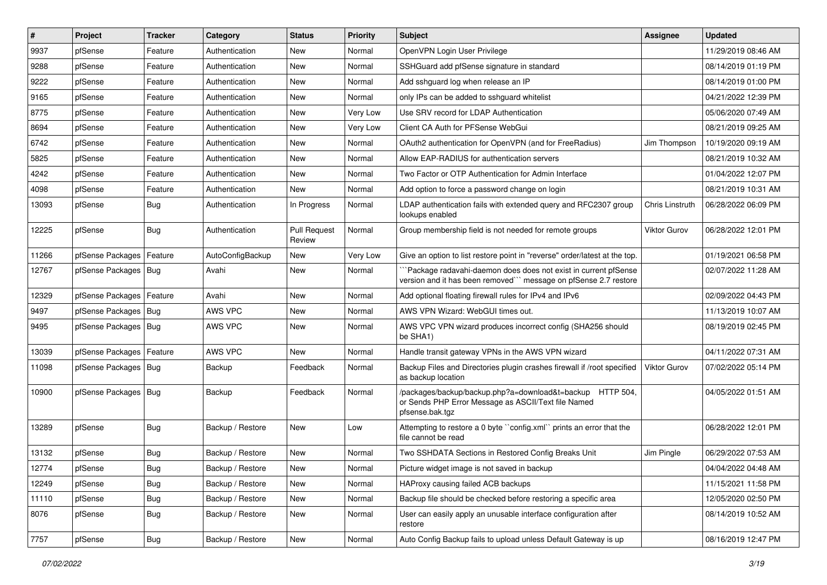| #     | Project                    | <b>Tracker</b> | Category         | <b>Status</b>                 | <b>Priority</b> | Subject                                                                                                                             | <b>Assignee</b>     | <b>Updated</b>      |
|-------|----------------------------|----------------|------------------|-------------------------------|-----------------|-------------------------------------------------------------------------------------------------------------------------------------|---------------------|---------------------|
| 9937  | pfSense                    | Feature        | Authentication   | New                           | Normal          | OpenVPN Login User Privilege                                                                                                        |                     | 11/29/2019 08:46 AM |
| 9288  | pfSense                    | Feature        | Authentication   | New                           | Normal          | SSHGuard add pfSense signature in standard                                                                                          |                     | 08/14/2019 01:19 PM |
| 9222  | pfSense                    | Feature        | Authentication   | New                           | Normal          | Add sshguard log when release an IP                                                                                                 |                     | 08/14/2019 01:00 PM |
| 9165  | pfSense                    | Feature        | Authentication   | <b>New</b>                    | Normal          | only IPs can be added to sshguard whitelist                                                                                         |                     | 04/21/2022 12:39 PM |
| 8775  | pfSense                    | Feature        | Authentication   | New                           | Very Low        | Use SRV record for LDAP Authentication                                                                                              |                     | 05/06/2020 07:49 AM |
| 8694  | pfSense                    | Feature        | Authentication   | New                           | Very Low        | Client CA Auth for PFSense WebGui                                                                                                   |                     | 08/21/2019 09:25 AM |
| 6742  | pfSense                    | Feature        | Authentication   | New                           | Normal          | OAuth2 authentication for OpenVPN (and for FreeRadius)                                                                              | Jim Thompson        | 10/19/2020 09:19 AM |
| 5825  | pfSense                    | Feature        | Authentication   | New                           | Normal          | Allow EAP-RADIUS for authentication servers                                                                                         |                     | 08/21/2019 10:32 AM |
| 4242  | pfSense                    | Feature        | Authentication   | New                           | Normal          | Two Factor or OTP Authentication for Admin Interface                                                                                |                     | 01/04/2022 12:07 PM |
| 4098  | pfSense                    | Feature        | Authentication   | New                           | Normal          | Add option to force a password change on login                                                                                      |                     | 08/21/2019 10:31 AM |
| 13093 | pfSense                    | <b>Bug</b>     | Authentication   | In Progress                   | Normal          | LDAP authentication fails with extended query and RFC2307 group<br>lookups enabled                                                  | Chris Linstruth     | 06/28/2022 06:09 PM |
| 12225 | pfSense                    | <b>Bug</b>     | Authentication   | <b>Pull Request</b><br>Review | Normal          | Group membership field is not needed for remote groups                                                                              | Viktor Gurov        | 06/28/2022 12:01 PM |
| 11266 | pfSense Packages   Feature |                | AutoConfigBackup | New                           | Very Low        | Give an option to list restore point in "reverse" order/latest at the top.                                                          |                     | 01/19/2021 06:58 PM |
| 12767 | pfSense Packages   Bug     |                | Avahi            | New                           | Normal          | Package radavahi-daemon does does not exist in current pfSense<br>version and it has been removed``` message on pfSense 2.7 restore |                     | 02/07/2022 11:28 AM |
| 12329 | pfSense Packages           | Feature        | Avahi            | <b>New</b>                    | Normal          | Add optional floating firewall rules for IPv4 and IPv6                                                                              |                     | 02/09/2022 04:43 PM |
| 9497  | pfSense Packages   Bug     |                | AWS VPC          | New                           | Normal          | AWS VPN Wizard: WebGUI times out.                                                                                                   |                     | 11/13/2019 10:07 AM |
| 9495  | pfSense Packages   Bug     |                | AWS VPC          | <b>New</b>                    | Normal          | AWS VPC VPN wizard produces incorrect config (SHA256 should<br>be SHA1)                                                             |                     | 08/19/2019 02:45 PM |
| 13039 | pfSense Packages           | Feature        | AWS VPC          | <b>New</b>                    | Normal          | Handle transit gateway VPNs in the AWS VPN wizard                                                                                   |                     | 04/11/2022 07:31 AM |
| 11098 | pfSense Packages   Bug     |                | Backup           | Feedback                      | Normal          | Backup Files and Directories plugin crashes firewall if /root specified<br>as backup location                                       | <b>Viktor Gurov</b> | 07/02/2022 05:14 PM |
| 10900 | pfSense Packages   Bug     |                | Backup           | Feedback                      | Normal          | /packages/backup/backup.php?a=download&t=backup HTTP 504,<br>or Sends PHP Error Message as ASCII/Text file Named<br>pfsense.bak.tgz |                     | 04/05/2022 01:51 AM |
| 13289 | pfSense                    | <b>Bug</b>     | Backup / Restore | New                           | Low             | Attempting to restore a 0 byte "config.xml" prints an error that the<br>file cannot be read                                         |                     | 06/28/2022 12:01 PM |
| 13132 | pfSense                    | <b>Bug</b>     | Backup / Restore | New                           | Normal          | Two SSHDATA Sections in Restored Config Breaks Unit                                                                                 | Jim Pingle          | 06/29/2022 07:53 AM |
| 12774 | pfSense                    | <b>Bug</b>     | Backup / Restore | New                           | Normal          | Picture widget image is not saved in backup                                                                                         |                     | 04/04/2022 04:48 AM |
| 12249 | pfSense                    | <b>Bug</b>     | Backup / Restore | New                           | Normal          | HAProxy causing failed ACB backups                                                                                                  |                     | 11/15/2021 11:58 PM |
| 11110 | pfSense                    | <b>Bug</b>     | Backup / Restore | New                           | Normal          | Backup file should be checked before restoring a specific area                                                                      |                     | 12/05/2020 02:50 PM |
| 8076  | pfSense                    | <b>Bug</b>     | Backup / Restore | New                           | Normal          | User can easily apply an unusable interface configuration after<br>restore                                                          |                     | 08/14/2019 10:52 AM |
| 7757  | pfSense                    | Bug            | Backup / Restore | New                           | Normal          | Auto Config Backup fails to upload unless Default Gateway is up                                                                     |                     | 08/16/2019 12:47 PM |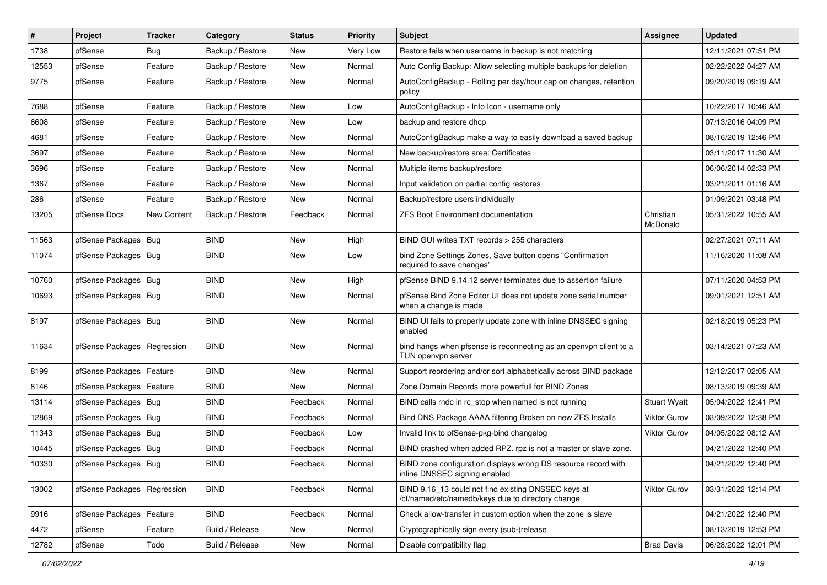| $\vert$ # | Project                       | <b>Tracker</b>     | Category         | <b>Status</b> | <b>Priority</b> | <b>Subject</b>                                                                                           | <b>Assignee</b>       | <b>Updated</b>      |
|-----------|-------------------------------|--------------------|------------------|---------------|-----------------|----------------------------------------------------------------------------------------------------------|-----------------------|---------------------|
| 1738      | pfSense                       | <b>Bug</b>         | Backup / Restore | New           | Very Low        | Restore fails when username in backup is not matching                                                    |                       | 12/11/2021 07:51 PM |
| 12553     | pfSense                       | Feature            | Backup / Restore | <b>New</b>    | Normal          | Auto Config Backup: Allow selecting multiple backups for deletion                                        |                       | 02/22/2022 04:27 AM |
| 9775      | pfSense                       | Feature            | Backup / Restore | New           | Normal          | AutoConfigBackup - Rolling per day/hour cap on changes, retention<br>policy                              |                       | 09/20/2019 09:19 AM |
| 7688      | pfSense                       | Feature            | Backup / Restore | New           | Low             | AutoConfigBackup - Info Icon - username only                                                             |                       | 10/22/2017 10:46 AM |
| 6608      | pfSense                       | Feature            | Backup / Restore | New           | Low             | backup and restore dhcp                                                                                  |                       | 07/13/2016 04:09 PM |
| 4681      | pfSense                       | Feature            | Backup / Restore | New           | Normal          | AutoConfigBackup make a way to easily download a saved backup                                            |                       | 08/16/2019 12:46 PM |
| 3697      | pfSense                       | Feature            | Backup / Restore | New           | Normal          | New backup/restore area: Certificates                                                                    |                       | 03/11/2017 11:30 AM |
| 3696      | pfSense                       | Feature            | Backup / Restore | New           | Normal          | Multiple items backup/restore                                                                            |                       | 06/06/2014 02:33 PM |
| 1367      | pfSense                       | Feature            | Backup / Restore | New           | Normal          | Input validation on partial config restores                                                              |                       | 03/21/2011 01:16 AM |
| 286       | pfSense                       | Feature            | Backup / Restore | <b>New</b>    | Normal          | Backup/restore users individually                                                                        |                       | 01/09/2021 03:48 PM |
| 13205     | pfSense Docs                  | <b>New Content</b> | Backup / Restore | Feedback      | Normal          | <b>ZFS Boot Environment documentation</b>                                                                | Christian<br>McDonald | 05/31/2022 10:55 AM |
| 11563     | pfSense Packages              | Bug                | <b>BIND</b>      | New           | High            | BIND GUI writes TXT records > 255 characters                                                             |                       | 02/27/2021 07:11 AM |
| 11074     | pfSense Packages   Bug        |                    | <b>BIND</b>      | New           | Low             | bind Zone Settings Zones, Save button opens "Confirmation<br>required to save changes"                   |                       | 11/16/2020 11:08 AM |
| 10760     | pfSense Packages              | Bug                | <b>BIND</b>      | New           | High            | pfSense BIND 9.14.12 server terminates due to assertion failure                                          |                       | 07/11/2020 04:53 PM |
| 10693     | pfSense Packages   Bug        |                    | <b>BIND</b>      | New           | Normal          | pfSense Bind Zone Editor UI does not update zone serial number<br>when a change is made                  |                       | 09/01/2021 12:51 AM |
| 8197      | pfSense Packages   Bug        |                    | <b>BIND</b>      | New           | Normal          | BIND UI fails to properly update zone with inline DNSSEC signing<br>enabled                              |                       | 02/18/2019 05:23 PM |
| 11634     | pfSense Packages              | Regression         | <b>BIND</b>      | New           | Normal          | bind hangs when pfsense is reconnecting as an openvpn client to a<br>TUN openvpn server                  |                       | 03/14/2021 07:23 AM |
| 8199      | pfSense Packages              | Feature            | <b>BIND</b>      | <b>New</b>    | Normal          | Support reordering and/or sort alphabetically across BIND package                                        |                       | 12/12/2017 02:05 AM |
| 8146      | pfSense Packages              | Feature            | <b>BIND</b>      | New           | Normal          | Zone Domain Records more powerfull for BIND Zones                                                        |                       | 08/13/2019 09:39 AM |
| 13114     | pfSense Packages              | Bug                | <b>BIND</b>      | Feedback      | Normal          | BIND calls rndc in rc stop when named is not running                                                     | <b>Stuart Wyatt</b>   | 05/04/2022 12:41 PM |
| 12869     | pfSense Packages              | Bug                | <b>BIND</b>      | Feedback      | Normal          | Bind DNS Package AAAA filtering Broken on new ZFS Installs                                               | Viktor Gurov          | 03/09/2022 12:38 PM |
| 11343     | pfSense Packages   Bug        |                    | <b>BIND</b>      | Feedback      | Low             | Invalid link to pfSense-pkg-bind changelog                                                               | <b>Viktor Gurov</b>   | 04/05/2022 08:12 AM |
| 10445     | pfSense Packages              | Bug                | <b>BIND</b>      | Feedback      | Normal          | BIND crashed when added RPZ. rpz is not a master or slave zone.                                          |                       | 04/21/2022 12:40 PM |
| 10330     | pfSense Packages   Bug        |                    | <b>BIND</b>      | Feedback      | Normal          | BIND zone configuration displays wrong DS resource record with<br>inline DNSSEC signing enabled          |                       | 04/21/2022 12:40 PM |
| 13002     | pfSense Packages   Regression |                    | <b>BIND</b>      | Feedback      | Normal          | BIND 9.16 13 could not find existing DNSSEC keys at<br>/cf/named/etc/namedb/keys due to directory change | Viktor Gurov          | 03/31/2022 12:14 PM |
| 9916      | pfSense Packages              | Feature            | <b>BIND</b>      | Feedback      | Normal          | Check allow-transfer in custom option when the zone is slave                                             |                       | 04/21/2022 12:40 PM |
| 4472      | pfSense                       | Feature            | Build / Release  | New           | Normal          | Cryptographically sign every (sub-)release                                                               |                       | 08/13/2019 12:53 PM |
| 12782     | pfSense                       | Todo               | Build / Release  | New           | Normal          | Disable compatibility flag                                                                               | <b>Brad Davis</b>     | 06/28/2022 12:01 PM |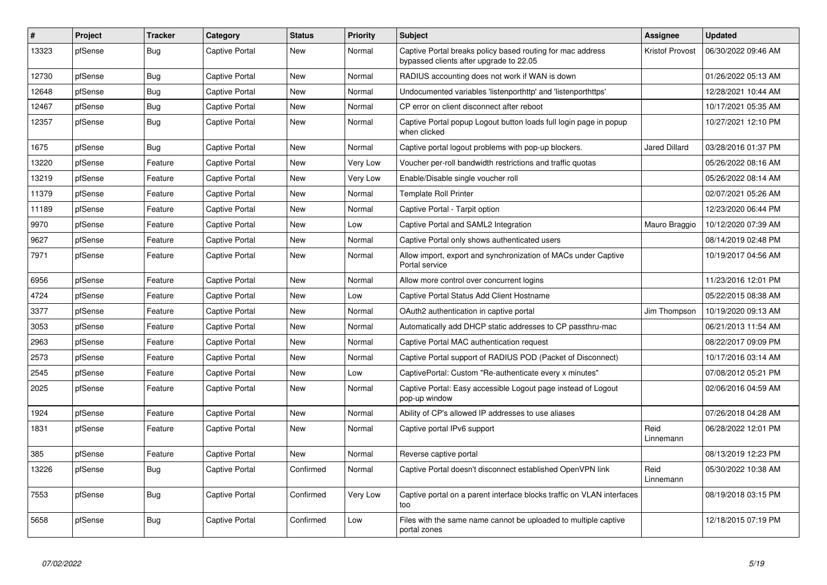| $\vert$ # | Project | <b>Tracker</b> | Category              | <b>Status</b> | <b>Priority</b> | <b>Subject</b>                                                                                        | <b>Assignee</b>        | <b>Updated</b>      |
|-----------|---------|----------------|-----------------------|---------------|-----------------|-------------------------------------------------------------------------------------------------------|------------------------|---------------------|
| 13323     | pfSense | Bug            | <b>Captive Portal</b> | New           | Normal          | Captive Portal breaks policy based routing for mac address<br>bypassed clients after upgrade to 22.05 | <b>Kristof Provost</b> | 06/30/2022 09:46 AM |
| 12730     | pfSense | Bug            | <b>Captive Portal</b> | New           | Normal          | RADIUS accounting does not work if WAN is down                                                        |                        | 01/26/2022 05:13 AM |
| 12648     | pfSense | Bug            | <b>Captive Portal</b> | <b>New</b>    | Normal          | Undocumented variables 'listenporthttp' and 'listenporthttps'                                         |                        | 12/28/2021 10:44 AM |
| 12467     | pfSense | Bug            | <b>Captive Portal</b> | <b>New</b>    | Normal          | CP error on client disconnect after reboot                                                            |                        | 10/17/2021 05:35 AM |
| 12357     | pfSense | Bug            | <b>Captive Portal</b> | <b>New</b>    | Normal          | Captive Portal popup Logout button loads full login page in popup<br>when clicked                     |                        | 10/27/2021 12:10 PM |
| 1675      | pfSense | Bug            | <b>Captive Portal</b> | <b>New</b>    | Normal          | Captive portal logout problems with pop-up blockers.                                                  | <b>Jared Dillard</b>   | 03/28/2016 01:37 PM |
| 13220     | pfSense | Feature        | Captive Portal        | <b>New</b>    | <b>Very Low</b> | Voucher per-roll bandwidth restrictions and traffic quotas                                            |                        | 05/26/2022 08:16 AM |
| 13219     | pfSense | Feature        | <b>Captive Portal</b> | <b>New</b>    | Very Low        | Enable/Disable single voucher roll                                                                    |                        | 05/26/2022 08:14 AM |
| 11379     | pfSense | Feature        | <b>Captive Portal</b> | <b>New</b>    | Normal          | <b>Template Roll Printer</b>                                                                          |                        | 02/07/2021 05:26 AM |
| 11189     | pfSense | Feature        | <b>Captive Portal</b> | <b>New</b>    | Normal          | Captive Portal - Tarpit option                                                                        |                        | 12/23/2020 06:44 PM |
| 9970      | pfSense | Feature        | Captive Portal        | New           | Low             | Captive Portal and SAML2 Integration                                                                  | Mauro Braggio          | 10/12/2020 07:39 AM |
| 9627      | pfSense | Feature        | Captive Portal        | New           | Normal          | Captive Portal only shows authenticated users                                                         |                        | 08/14/2019 02:48 PM |
| 7971      | pfSense | Feature        | <b>Captive Portal</b> | <b>New</b>    | Normal          | Allow import, export and synchronization of MACs under Captive<br>Portal service                      |                        | 10/19/2017 04:56 AM |
| 6956      | pfSense | Feature        | <b>Captive Portal</b> | <b>New</b>    | Normal          | Allow more control over concurrent logins                                                             |                        | 11/23/2016 12:01 PM |
| 4724      | pfSense | Feature        | <b>Captive Portal</b> | <b>New</b>    | Low             | Captive Portal Status Add Client Hostname                                                             |                        | 05/22/2015 08:38 AM |
| 3377      | pfSense | Feature        | Captive Portal        | New           | Normal          | OAuth2 authentication in captive portal                                                               | Jim Thompson           | 10/19/2020 09:13 AM |
| 3053      | pfSense | Feature        | Captive Portal        | <b>New</b>    | Normal          | Automatically add DHCP static addresses to CP passthru-mac                                            |                        | 06/21/2013 11:54 AM |
| 2963      | pfSense | Feature        | <b>Captive Portal</b> | <b>New</b>    | Normal          | Captive Portal MAC authentication request                                                             |                        | 08/22/2017 09:09 PM |
| 2573      | pfSense | Feature        | <b>Captive Portal</b> | <b>New</b>    | Normal          | Captive Portal support of RADIUS POD (Packet of Disconnect)                                           |                        | 10/17/2016 03:14 AM |
| 2545      | pfSense | Feature        | <b>Captive Portal</b> | New           | Low             | CaptivePortal: Custom "Re-authenticate every x minutes"                                               |                        | 07/08/2012 05:21 PM |
| 2025      | pfSense | Feature        | Captive Portal        | New           | Normal          | Captive Portal: Easy accessible Logout page instead of Logout<br>pop-up window                        |                        | 02/06/2016 04:59 AM |
| 1924      | pfSense | Feature        | Captive Portal        | <b>New</b>    | Normal          | Ability of CP's allowed IP addresses to use aliases                                                   |                        | 07/26/2018 04:28 AM |
| 1831      | pfSense | Feature        | <b>Captive Portal</b> | New           | Normal          | Captive portal IPv6 support                                                                           | Reid<br>Linnemann      | 06/28/2022 12:01 PM |
| 385       | pfSense | Feature        | <b>Captive Portal</b> | <b>New</b>    | Normal          | Reverse captive portal                                                                                |                        | 08/13/2019 12:23 PM |
| 13226     | pfSense | Bug            | Captive Portal        | Confirmed     | Normal          | Captive Portal doesn't disconnect established OpenVPN link                                            | Reid<br>Linnemann      | 05/30/2022 10:38 AM |
| 7553      | pfSense | Bug            | <b>Captive Portal</b> | Confirmed     | Very Low        | Captive portal on a parent interface blocks traffic on VLAN interfaces<br>too                         |                        | 08/19/2018 03:15 PM |
| 5658      | pfSense | Bug            | <b>Captive Portal</b> | Confirmed     | Low             | Files with the same name cannot be uploaded to multiple captive<br>portal zones                       |                        | 12/18/2015 07:19 PM |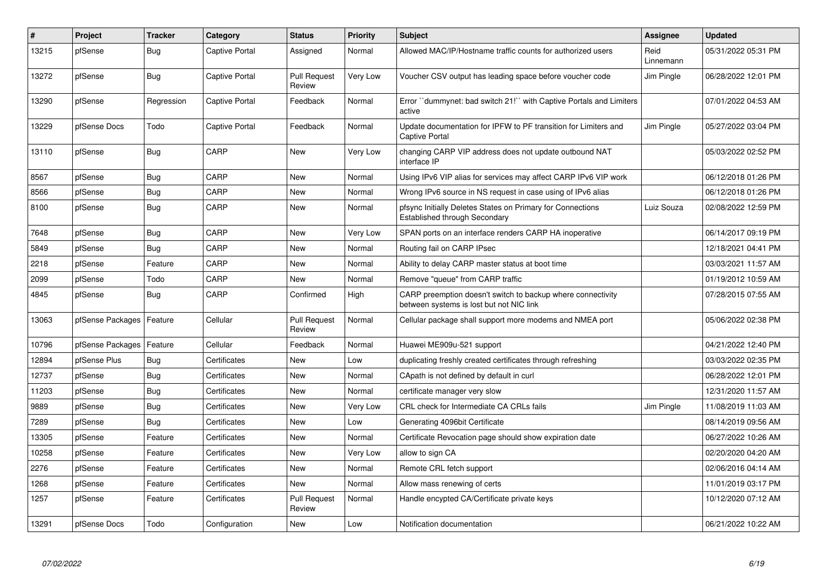| #     | Project          | <b>Tracker</b> | Category       | <b>Status</b>                 | <b>Priority</b> | <b>Subject</b>                                                                                          | <b>Assignee</b>   | <b>Updated</b>      |
|-------|------------------|----------------|----------------|-------------------------------|-----------------|---------------------------------------------------------------------------------------------------------|-------------------|---------------------|
| 13215 | pfSense          | Bug            | Captive Portal | Assigned                      | Normal          | Allowed MAC/IP/Hostname traffic counts for authorized users                                             | Reid<br>Linnemann | 05/31/2022 05:31 PM |
| 13272 | pfSense          | Bug            | Captive Portal | <b>Pull Request</b><br>Review | Very Low        | Voucher CSV output has leading space before voucher code                                                | Jim Pingle        | 06/28/2022 12:01 PM |
| 13290 | pfSense          | Regression     | Captive Portal | Feedback                      | Normal          | Error "dummynet: bad switch 21!" with Captive Portals and Limiters<br>active                            |                   | 07/01/2022 04:53 AM |
| 13229 | pfSense Docs     | Todo           | Captive Portal | Feedback                      | Normal          | Update documentation for IPFW to PF transition for Limiters and<br>Captive Portal                       | Jim Pingle        | 05/27/2022 03:04 PM |
| 13110 | pfSense          | <b>Bug</b>     | CARP           | <b>New</b>                    | Very Low        | changing CARP VIP address does not update outbound NAT<br>interface IP                                  |                   | 05/03/2022 02:52 PM |
| 8567  | pfSense          | Bug            | CARP           | New                           | Normal          | Using IPv6 VIP alias for services may affect CARP IPv6 VIP work                                         |                   | 06/12/2018 01:26 PM |
| 8566  | pfSense          | <b>Bug</b>     | CARP           | <b>New</b>                    | Normal          | Wrong IPv6 source in NS request in case using of IPv6 alias                                             |                   | 06/12/2018 01:26 PM |
| 8100  | pfSense          | <b>Bug</b>     | CARP           | New                           | Normal          | pfsync Initially Deletes States on Primary for Connections<br>Established through Secondary             | Luiz Souza        | 02/08/2022 12:59 PM |
| 7648  | pfSense          | <b>Bug</b>     | CARP           | <b>New</b>                    | Very Low        | SPAN ports on an interface renders CARP HA inoperative                                                  |                   | 06/14/2017 09:19 PM |
| 5849  | pfSense          | <b>Bug</b>     | CARP           | New                           | Normal          | Routing fail on CARP IPsec                                                                              |                   | 12/18/2021 04:41 PM |
| 2218  | pfSense          | Feature        | CARP           | <b>New</b>                    | Normal          | Ability to delay CARP master status at boot time                                                        |                   | 03/03/2021 11:57 AM |
| 2099  | pfSense          | Todo           | CARP           | <b>New</b>                    | Normal          | Remove "queue" from CARP traffic                                                                        |                   | 01/19/2012 10:59 AM |
| 4845  | pfSense          | Bug            | CARP           | Confirmed                     | High            | CARP preemption doesn't switch to backup where connectivity<br>between systems is lost but not NIC link |                   | 07/28/2015 07:55 AM |
| 13063 | pfSense Packages | Feature        | Cellular       | <b>Pull Request</b><br>Review | Normal          | Cellular package shall support more modems and NMEA port                                                |                   | 05/06/2022 02:38 PM |
| 10796 | pfSense Packages | Feature        | Cellular       | Feedback                      | Normal          | Huawei ME909u-521 support                                                                               |                   | 04/21/2022 12:40 PM |
| 12894 | pfSense Plus     | <b>Bug</b>     | Certificates   | <b>New</b>                    | Low             | duplicating freshly created certificates through refreshing                                             |                   | 03/03/2022 02:35 PM |
| 12737 | pfSense          | <b>Bug</b>     | Certificates   | <b>New</b>                    | Normal          | CApath is not defined by default in curl                                                                |                   | 06/28/2022 12:01 PM |
| 11203 | pfSense          | <b>Bug</b>     | Certificates   | <b>New</b>                    | Normal          | certificate manager very slow                                                                           |                   | 12/31/2020 11:57 AM |
| 9889  | pfSense          | <b>Bug</b>     | Certificates   | New                           | Very Low        | CRL check for Intermediate CA CRLs fails                                                                | Jim Pingle        | 11/08/2019 11:03 AM |
| 7289  | pfSense          | Bug            | Certificates   | <b>New</b>                    | Low             | Generating 4096bit Certificate                                                                          |                   | 08/14/2019 09:56 AM |
| 13305 | pfSense          | Feature        | Certificates   | New                           | Normal          | Certificate Revocation page should show expiration date                                                 |                   | 06/27/2022 10:26 AM |
| 10258 | pfSense          | Feature        | Certificates   | <b>New</b>                    | Very Low        | allow to sign CA                                                                                        |                   | 02/20/2020 04:20 AM |
| 2276  | pfSense          | Feature        | Certificates   | <b>New</b>                    | Normal          | Remote CRL fetch support                                                                                |                   | 02/06/2016 04:14 AM |
| 1268  | pfSense          | Feature        | Certificates   | <b>New</b>                    | Normal          | Allow mass renewing of certs                                                                            |                   | 11/01/2019 03:17 PM |
| 1257  | pfSense          | Feature        | Certificates   | <b>Pull Request</b><br>Review | Normal          | Handle encypted CA/Certificate private keys                                                             |                   | 10/12/2020 07:12 AM |
| 13291 | pfSense Docs     | Todo           | Configuration  | <b>New</b>                    | Low             | Notification documentation                                                                              |                   | 06/21/2022 10:22 AM |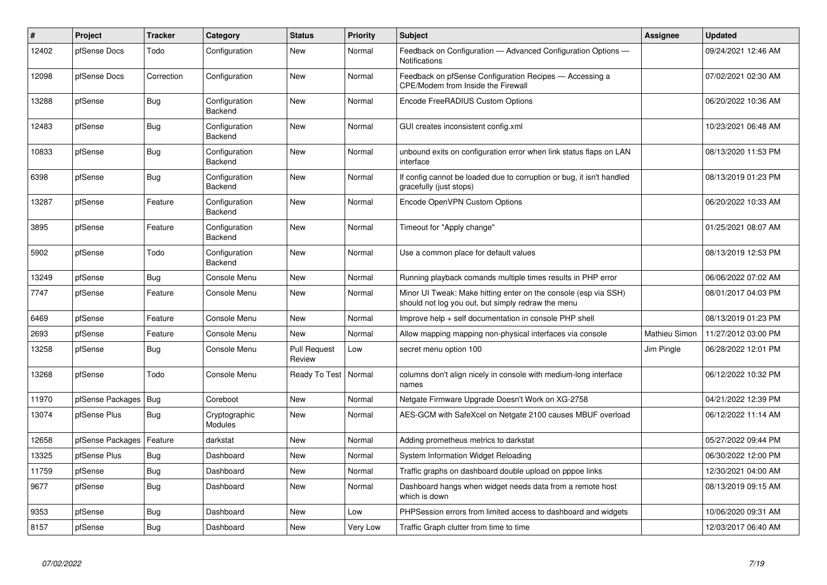| #     | Project          | <b>Tracker</b> | Category                 | <b>Status</b>                 | <b>Priority</b> | <b>Subject</b>                                                                                                        | <b>Assignee</b> | <b>Updated</b>      |
|-------|------------------|----------------|--------------------------|-------------------------------|-----------------|-----------------------------------------------------------------------------------------------------------------------|-----------------|---------------------|
| 12402 | pfSense Docs     | Todo           | Configuration            | <b>New</b>                    | Normal          | Feedback on Configuration - Advanced Configuration Options -<br>Notifications                                         |                 | 09/24/2021 12:46 AM |
| 12098 | pfSense Docs     | Correction     | Configuration            | <b>New</b>                    | Normal          | Feedback on pfSense Configuration Recipes - Accessing a<br><b>CPE/Modem from Inside the Firewall</b>                  |                 | 07/02/2021 02:30 AM |
| 13288 | pfSense          | <b>Bug</b>     | Configuration<br>Backend | <b>New</b>                    | Normal          | Encode FreeRADIUS Custom Options                                                                                      |                 | 06/20/2022 10:36 AM |
| 12483 | pfSense          | Bug            | Configuration<br>Backend | New                           | Normal          | GUI creates inconsistent config.xml                                                                                   |                 | 10/23/2021 06:48 AM |
| 10833 | pfSense          | <b>Bug</b>     | Configuration<br>Backend | New                           | Normal          | unbound exits on configuration error when link status flaps on LAN<br>interface                                       |                 | 08/13/2020 11:53 PM |
| 6398  | pfSense          | <b>Bug</b>     | Configuration<br>Backend | <b>New</b>                    | Normal          | If config cannot be loaded due to corruption or bug, it isn't handled<br>gracefully (just stops)                      |                 | 08/13/2019 01:23 PM |
| 13287 | pfSense          | Feature        | Configuration<br>Backend | <b>New</b>                    | Normal          | Encode OpenVPN Custom Options                                                                                         |                 | 06/20/2022 10:33 AM |
| 3895  | pfSense          | Feature        | Configuration<br>Backend | <b>New</b>                    | Normal          | Timeout for "Apply change"                                                                                            |                 | 01/25/2021 08:07 AM |
| 5902  | pfSense          | Todo           | Configuration<br>Backend | New                           | Normal          | Use a common place for default values                                                                                 |                 | 08/13/2019 12:53 PM |
| 13249 | pfSense          | <b>Bug</b>     | Console Menu             | <b>New</b>                    | Normal          | Running playback comands multiple times results in PHP error                                                          |                 | 06/06/2022 07:02 AM |
| 7747  | pfSense          | Feature        | Console Menu             | New                           | Normal          | Minor UI Tweak: Make hitting enter on the console (esp via SSH)<br>should not log you out, but simply redraw the menu |                 | 08/01/2017 04:03 PM |
| 6469  | pfSense          | Feature        | Console Menu             | New                           | Normal          | Improve help + self documentation in console PHP shell                                                                |                 | 08/13/2019 01:23 PM |
| 2693  | pfSense          | Feature        | Console Menu             | New                           | Normal          | Allow mapping mapping non-physical interfaces via console                                                             | Mathieu Simon   | 11/27/2012 03:00 PM |
| 13258 | pfSense          | <b>Bug</b>     | Console Menu             | <b>Pull Request</b><br>Review | Low             | secret menu option 100                                                                                                | Jim Pingle      | 06/28/2022 12:01 PM |
| 13268 | pfSense          | Todo           | Console Menu             | Ready To Test                 | Normal          | columns don't align nicely in console with medium-long interface<br>names                                             |                 | 06/12/2022 10:32 PM |
| 11970 | pfSense Packages | Bug            | Coreboot                 | <b>New</b>                    | Normal          | Netgate Firmware Upgrade Doesn't Work on XG-2758                                                                      |                 | 04/21/2022 12:39 PM |
| 13074 | pfSense Plus     | Bug            | Cryptographic<br>Modules | New                           | Normal          | AES-GCM with SafeXcel on Netgate 2100 causes MBUF overload                                                            |                 | 06/12/2022 11:14 AM |
| 12658 | pfSense Packages | Feature        | darkstat                 | <b>New</b>                    | Normal          | Adding prometheus metrics to darkstat                                                                                 |                 | 05/27/2022 09:44 PM |
| 13325 | pfSense Plus     | <b>Bug</b>     | Dashboard                | <b>New</b>                    | Normal          | System Information Widget Reloading                                                                                   |                 | 06/30/2022 12:00 PM |
| 11759 | pfSense          | <b>Bug</b>     | Dashboard                | <b>New</b>                    | Normal          | Traffic graphs on dashboard double upload on pppoe links                                                              |                 | 12/30/2021 04:00 AM |
| 9677  | pfSense          | <b>Bug</b>     | Dashboard                | <b>New</b>                    | Normal          | Dashboard hangs when widget needs data from a remote host<br>which is down                                            |                 | 08/13/2019 09:15 AM |
| 9353  | pfSense          | Bug            | Dashboard                | <b>New</b>                    | Low             | PHPSession errors from limited access to dashboard and widgets                                                        |                 | 10/06/2020 09:31 AM |
| 8157  | pfSense          | Bug            | Dashboard                | New                           | Very Low        | Traffic Graph clutter from time to time                                                                               |                 | 12/03/2017 06:40 AM |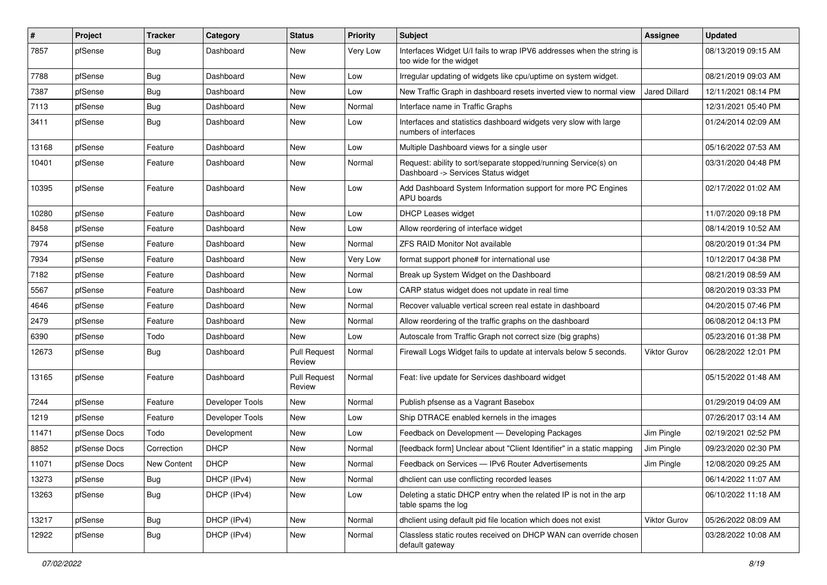| $\sharp$ | Project      | <b>Tracker</b>     | Category        | <b>Status</b>                 | <b>Priority</b> | <b>Subject</b>                                                                                         | <b>Assignee</b>      | <b>Updated</b>      |
|----------|--------------|--------------------|-----------------|-------------------------------|-----------------|--------------------------------------------------------------------------------------------------------|----------------------|---------------------|
| 7857     | pfSense      | Bug                | Dashboard       | New                           | Very Low        | Interfaces Widget U/I fails to wrap IPV6 addresses when the string is<br>too wide for the widget       |                      | 08/13/2019 09:15 AM |
| 7788     | pfSense      | <b>Bug</b>         | Dashboard       | New                           | Low             | Irregular updating of widgets like cpu/uptime on system widget.                                        |                      | 08/21/2019 09:03 AM |
| 7387     | pfSense      | <b>Bug</b>         | Dashboard       | <b>New</b>                    | Low             | New Traffic Graph in dashboard resets inverted view to normal view                                     | <b>Jared Dillard</b> | 12/11/2021 08:14 PM |
| 7113     | pfSense      | <b>Bug</b>         | Dashboard       | New                           | Normal          | Interface name in Traffic Graphs                                                                       |                      | 12/31/2021 05:40 PM |
| 3411     | pfSense      | <b>Bug</b>         | Dashboard       | New                           | Low             | Interfaces and statistics dashboard widgets very slow with large<br>numbers of interfaces              |                      | 01/24/2014 02:09 AM |
| 13168    | pfSense      | Feature            | Dashboard       | <b>New</b>                    | Low             | Multiple Dashboard views for a single user                                                             |                      | 05/16/2022 07:53 AM |
| 10401    | pfSense      | Feature            | Dashboard       | New                           | Normal          | Request: ability to sort/separate stopped/running Service(s) on<br>Dashboard -> Services Status widget |                      | 03/31/2020 04:48 PM |
| 10395    | pfSense      | Feature            | Dashboard       | New                           | Low             | Add Dashboard System Information support for more PC Engines<br>APU boards                             |                      | 02/17/2022 01:02 AM |
| 10280    | pfSense      | Feature            | Dashboard       | New                           | Low             | DHCP Leases widget                                                                                     |                      | 11/07/2020 09:18 PM |
| 8458     | pfSense      | Feature            | Dashboard       | New                           | Low             | Allow reordering of interface widget                                                                   |                      | 08/14/2019 10:52 AM |
| 7974     | pfSense      | Feature            | Dashboard       | New                           | Normal          | <b>ZFS RAID Monitor Not available</b>                                                                  |                      | 08/20/2019 01:34 PM |
| 7934     | pfSense      | Feature            | Dashboard       | New                           | Very Low        | format support phone# for international use                                                            |                      | 10/12/2017 04:38 PM |
| 7182     | pfSense      | Feature            | Dashboard       | New                           | Normal          | Break up System Widget on the Dashboard                                                                |                      | 08/21/2019 08:59 AM |
| 5567     | pfSense      | Feature            | Dashboard       | <b>New</b>                    | Low             | CARP status widget does not update in real time                                                        |                      | 08/20/2019 03:33 PM |
| 4646     | pfSense      | Feature            | Dashboard       | New                           | Normal          | Recover valuable vertical screen real estate in dashboard                                              |                      | 04/20/2015 07:46 PM |
| 2479     | pfSense      | Feature            | Dashboard       | <b>New</b>                    | Normal          | Allow reordering of the traffic graphs on the dashboard                                                |                      | 06/08/2012 04:13 PM |
| 6390     | pfSense      | Todo               | Dashboard       | <b>New</b>                    | Low             | Autoscale from Traffic Graph not correct size (big graphs)                                             |                      | 05/23/2016 01:38 PM |
| 12673    | pfSense      | Bug                | Dashboard       | <b>Pull Request</b><br>Review | Normal          | Firewall Logs Widget fails to update at intervals below 5 seconds.                                     | <b>Viktor Gurov</b>  | 06/28/2022 12:01 PM |
| 13165    | pfSense      | Feature            | Dashboard       | <b>Pull Request</b><br>Review | Normal          | Feat: live update for Services dashboard widget                                                        |                      | 05/15/2022 01:48 AM |
| 7244     | pfSense      | Feature            | Developer Tools | <b>New</b>                    | Normal          | Publish pfsense as a Vagrant Basebox                                                                   |                      | 01/29/2019 04:09 AM |
| 1219     | pfSense      | Feature            | Developer Tools | New                           | Low             | Ship DTRACE enabled kernels in the images                                                              |                      | 07/26/2017 03:14 AM |
| 11471    | pfSense Docs | Todo               | Development     | <b>New</b>                    | Low             | Feedback on Development - Developing Packages                                                          | Jim Pingle           | 02/19/2021 02:52 PM |
| 8852     | pfSense Docs | Correction         | <b>DHCP</b>     | New                           | Normal          | [feedback form] Unclear about "Client Identifier" in a static mapping                                  | Jim Pingle           | 09/23/2020 02:30 PM |
| 11071    | pfSense Docs | <b>New Content</b> | <b>DHCP</b>     | New                           | Normal          | Feedback on Services - IPv6 Router Advertisements                                                      | Jim Pingle           | 12/08/2020 09:25 AM |
| 13273    | pfSense      | <b>Bug</b>         | DHCP (IPv4)     | New                           | Normal          | dhclient can use conflicting recorded leases                                                           |                      | 06/14/2022 11:07 AM |
| 13263    | pfSense      | <b>Bug</b>         | DHCP (IPv4)     | New                           | Low             | Deleting a static DHCP entry when the related IP is not in the arp<br>table spams the log              |                      | 06/10/2022 11:18 AM |
| 13217    | pfSense      | Bug                | DHCP (IPv4)     | New                           | Normal          | dhclient using default pid file location which does not exist                                          | Viktor Gurov         | 05/26/2022 08:09 AM |
| 12922    | pfSense      | <b>Bug</b>         | DHCP (IPv4)     | New                           | Normal          | Classless static routes received on DHCP WAN can override chosen<br>default gateway                    |                      | 03/28/2022 10:08 AM |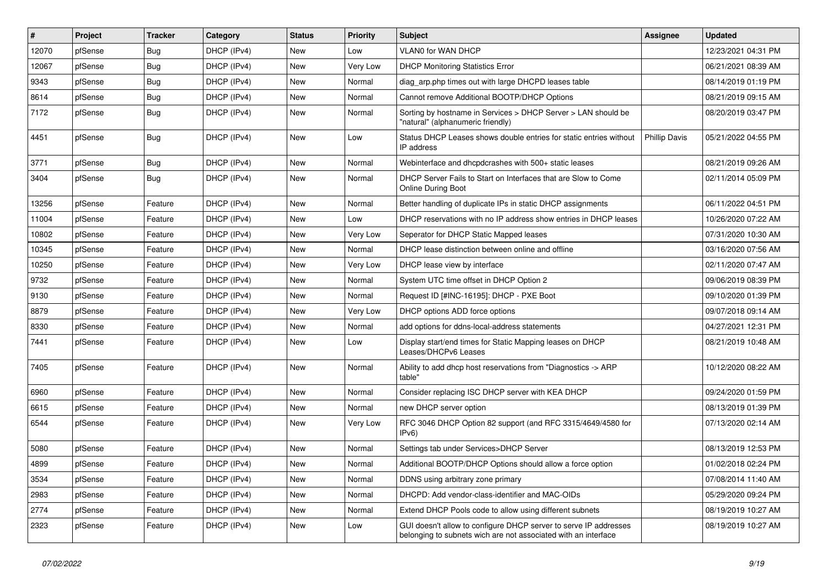| $\vert$ # | Project | <b>Tracker</b> | Category    | <b>Status</b> | <b>Priority</b> | Subject                                                                                                                            | <b>Assignee</b>      | <b>Updated</b>      |
|-----------|---------|----------------|-------------|---------------|-----------------|------------------------------------------------------------------------------------------------------------------------------------|----------------------|---------------------|
| 12070     | pfSense | Bug            | DHCP (IPv4) | New           | Low             | VLAN0 for WAN DHCP                                                                                                                 |                      | 12/23/2021 04:31 PM |
| 12067     | pfSense | Bug            | DHCP (IPv4) | <b>New</b>    | Very Low        | <b>DHCP Monitoring Statistics Error</b>                                                                                            |                      | 06/21/2021 08:39 AM |
| 9343      | pfSense | <b>Bug</b>     | DHCP (IPv4) | New           | Normal          | diag_arp.php times out with large DHCPD leases table                                                                               |                      | 08/14/2019 01:19 PM |
| 8614      | pfSense | <b>Bug</b>     | DHCP (IPv4) | <b>New</b>    | Normal          | Cannot remove Additional BOOTP/DHCP Options                                                                                        |                      | 08/21/2019 09:15 AM |
| 7172      | pfSense | Bug            | DHCP (IPv4) | New           | Normal          | Sorting by hostname in Services > DHCP Server > LAN should be<br>"natural" (alphanumeric friendly)                                 |                      | 08/20/2019 03:47 PM |
| 4451      | pfSense | Bug            | DHCP (IPv4) | New           | Low             | Status DHCP Leases shows double entries for static entries without<br>IP address                                                   | <b>Phillip Davis</b> | 05/21/2022 04:55 PM |
| 3771      | pfSense | Bug            | DHCP (IPv4) | New           | Normal          | Webinterface and dhcpdcrashes with 500+ static leases                                                                              |                      | 08/21/2019 09:26 AM |
| 3404      | pfSense | Bug            | DHCP (IPv4) | New           | Normal          | DHCP Server Fails to Start on Interfaces that are Slow to Come<br><b>Online During Boot</b>                                        |                      | 02/11/2014 05:09 PM |
| 13256     | pfSense | Feature        | DHCP (IPv4) | New           | Normal          | Better handling of duplicate IPs in static DHCP assignments                                                                        |                      | 06/11/2022 04:51 PM |
| 11004     | pfSense | Feature        | DHCP (IPv4) | New           | Low             | DHCP reservations with no IP address show entries in DHCP leases                                                                   |                      | 10/26/2020 07:22 AM |
| 10802     | pfSense | Feature        | DHCP (IPv4) | New           | Very Low        | Seperator for DHCP Static Mapped leases                                                                                            |                      | 07/31/2020 10:30 AM |
| 10345     | pfSense | Feature        | DHCP (IPv4) | New           | Normal          | DHCP lease distinction between online and offline                                                                                  |                      | 03/16/2020 07:56 AM |
| 10250     | pfSense | Feature        | DHCP (IPv4) | <b>New</b>    | Very Low        | DHCP lease view by interface                                                                                                       |                      | 02/11/2020 07:47 AM |
| 9732      | pfSense | Feature        | DHCP (IPv4) | New           | Normal          | System UTC time offset in DHCP Option 2                                                                                            |                      | 09/06/2019 08:39 PM |
| 9130      | pfSense | Feature        | DHCP (IPv4) | <b>New</b>    | Normal          | Request ID [#INC-16195]: DHCP - PXE Boot                                                                                           |                      | 09/10/2020 01:39 PM |
| 8879      | pfSense | Feature        | DHCP (IPv4) | New           | Very Low        | DHCP options ADD force options                                                                                                     |                      | 09/07/2018 09:14 AM |
| 8330      | pfSense | Feature        | DHCP (IPv4) | New           | Normal          | add options for ddns-local-address statements                                                                                      |                      | 04/27/2021 12:31 PM |
| 7441      | pfSense | Feature        | DHCP (IPv4) | New           | Low             | Display start/end times for Static Mapping leases on DHCP<br>Leases/DHCPv6 Leases                                                  |                      | 08/21/2019 10:48 AM |
| 7405      | pfSense | Feature        | DHCP (IPv4) | New           | Normal          | Ability to add dhcp host reservations from "Diagnostics -> ARP<br>table"                                                           |                      | 10/12/2020 08:22 AM |
| 6960      | pfSense | Feature        | DHCP (IPv4) | New           | Normal          | Consider replacing ISC DHCP server with KEA DHCP                                                                                   |                      | 09/24/2020 01:59 PM |
| 6615      | pfSense | Feature        | DHCP (IPv4) | <b>New</b>    | Normal          | new DHCP server option                                                                                                             |                      | 08/13/2019 01:39 PM |
| 6544      | pfSense | Feature        | DHCP (IPv4) | New           | Very Low        | RFC 3046 DHCP Option 82 support (and RFC 3315/4649/4580 for<br>IPv6                                                                |                      | 07/13/2020 02:14 AM |
| 5080      | pfSense | Feature        | DHCP (IPv4) | New           | Normal          | Settings tab under Services>DHCP Server                                                                                            |                      | 08/13/2019 12:53 PM |
| 4899      | pfSense | Feature        | DHCP (IPv4) | New           | Normal          | Additional BOOTP/DHCP Options should allow a force option                                                                          |                      | 01/02/2018 02:24 PM |
| 3534      | pfSense | Feature        | DHCP (IPv4) | New           | Normal          | DDNS using arbitrary zone primary                                                                                                  |                      | 07/08/2014 11:40 AM |
| 2983      | pfSense | Feature        | DHCP (IPv4) | New           | Normal          | DHCPD: Add vendor-class-identifier and MAC-OIDs                                                                                    |                      | 05/29/2020 09:24 PM |
| 2774      | pfSense | Feature        | DHCP (IPv4) | New           | Normal          | Extend DHCP Pools code to allow using different subnets                                                                            |                      | 08/19/2019 10:27 AM |
| 2323      | pfSense | Feature        | DHCP (IPv4) | New           | Low             | GUI doesn't allow to configure DHCP server to serve IP addresses<br>belonging to subnets wich are not associated with an interface |                      | 08/19/2019 10:27 AM |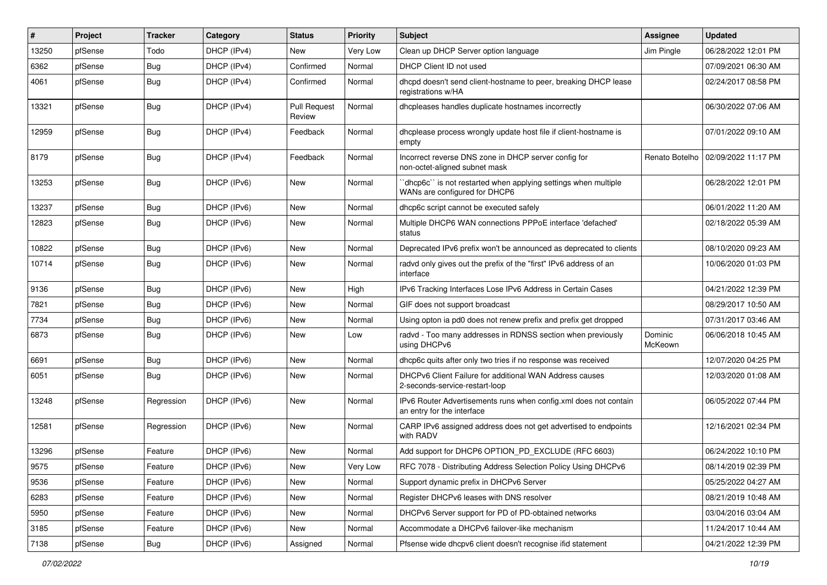| ∦     | Project | <b>Tracker</b> | Category    | <b>Status</b>                 | <b>Priority</b> | Subject                                                                                         | <b>Assignee</b>    | <b>Updated</b>      |
|-------|---------|----------------|-------------|-------------------------------|-----------------|-------------------------------------------------------------------------------------------------|--------------------|---------------------|
| 13250 | pfSense | Todo           | DHCP (IPv4) | New                           | Very Low        | Clean up DHCP Server option language                                                            | Jim Pingle         | 06/28/2022 12:01 PM |
| 6362  | pfSense | Bug            | DHCP (IPv4) | Confirmed                     | Normal          | DHCP Client ID not used                                                                         |                    | 07/09/2021 06:30 AM |
| 4061  | pfSense | <b>Bug</b>     | DHCP (IPv4) | Confirmed                     | Normal          | dhcpd doesn't send client-hostname to peer, breaking DHCP lease<br>registrations w/HA           |                    | 02/24/2017 08:58 PM |
| 13321 | pfSense | Bug            | DHCP (IPv4) | <b>Pull Request</b><br>Review | Normal          | dhcpleases handles duplicate hostnames incorrectly                                              |                    | 06/30/2022 07:06 AM |
| 12959 | pfSense | Bug            | DHCP (IPv4) | Feedback                      | Normal          | dhcplease process wrongly update host file if client-hostname is<br>empty                       |                    | 07/01/2022 09:10 AM |
| 8179  | pfSense | Bug            | DHCP (IPv4) | Feedback                      | Normal          | Incorrect reverse DNS zone in DHCP server config for<br>non-octet-aligned subnet mask           | Renato Botelho     | 02/09/2022 11:17 PM |
| 13253 | pfSense | Bug            | DHCP (IPv6) | <b>New</b>                    | Normal          | 'dhcp6c' is not restarted when applying settings when multiple<br>WANs are configured for DHCP6 |                    | 06/28/2022 12:01 PM |
| 13237 | pfSense | Bug            | DHCP (IPv6) | <b>New</b>                    | Normal          | dhcp6c script cannot be executed safely                                                         |                    | 06/01/2022 11:20 AM |
| 12823 | pfSense | Bug            | DHCP (IPv6) | New                           | Normal          | Multiple DHCP6 WAN connections PPPoE interface 'defached'<br>status                             |                    | 02/18/2022 05:39 AM |
| 10822 | pfSense | Bug            | DHCP (IPv6) | <b>New</b>                    | Normal          | Deprecated IPv6 prefix won't be announced as deprecated to clients                              |                    | 08/10/2020 09:23 AM |
| 10714 | pfSense | <b>Bug</b>     | DHCP (IPv6) | <b>New</b>                    | Normal          | radvd only gives out the prefix of the "first" IPv6 address of an<br>interface                  |                    | 10/06/2020 01:03 PM |
| 9136  | pfSense | Bug            | DHCP (IPv6) | <b>New</b>                    | High            | IPv6 Tracking Interfaces Lose IPv6 Address in Certain Cases                                     |                    | 04/21/2022 12:39 PM |
| 7821  | pfSense | <b>Bug</b>     | DHCP (IPv6) | New                           | Normal          | GIF does not support broadcast                                                                  |                    | 08/29/2017 10:50 AM |
| 7734  | pfSense | Bug            | DHCP (IPv6) | <b>New</b>                    | Normal          | Using opton ia pd0 does not renew prefix and prefix get dropped                                 |                    | 07/31/2017 03:46 AM |
| 6873  | pfSense | Bug            | DHCP (IPv6) | <b>New</b>                    | Low             | radvd - Too many addresses in RDNSS section when previously<br>using DHCPv6                     | Dominic<br>McKeown | 06/06/2018 10:45 AM |
| 6691  | pfSense | Bug            | DHCP (IPv6) | <b>New</b>                    | Normal          | dhcp6c quits after only two tries if no response was received                                   |                    | 12/07/2020 04:25 PM |
| 6051  | pfSense | Bug            | DHCP (IPv6) | New                           | Normal          | DHCPv6 Client Failure for additional WAN Address causes<br>2-seconds-service-restart-loop       |                    | 12/03/2020 01:08 AM |
| 13248 | pfSense | Regression     | DHCP (IPv6) | <b>New</b>                    | Normal          | IPv6 Router Advertisements runs when config.xml does not contain<br>an entry for the interface  |                    | 06/05/2022 07:44 PM |
| 12581 | pfSense | Regression     | DHCP (IPv6) | New                           | Normal          | CARP IPv6 assigned address does not get advertised to endpoints<br>with RADV                    |                    | 12/16/2021 02:34 PM |
| 13296 | pfSense | Feature        | DHCP (IPv6) | New                           | Normal          | Add support for DHCP6 OPTION_PD_EXCLUDE (RFC 6603)                                              |                    | 06/24/2022 10:10 PM |
| 9575  | pfSense | Feature        | DHCP (IPv6) | New                           | Very Low        | RFC 7078 - Distributing Address Selection Policy Using DHCPv6                                   |                    | 08/14/2019 02:39 PM |
| 9536  | pfSense | Feature        | DHCP (IPv6) | New                           | Normal          | Support dynamic prefix in DHCPv6 Server                                                         |                    | 05/25/2022 04:27 AM |
| 6283  | pfSense | Feature        | DHCP (IPv6) | New                           | Normal          | Register DHCPv6 leases with DNS resolver                                                        |                    | 08/21/2019 10:48 AM |
| 5950  | pfSense | Feature        | DHCP (IPv6) | New                           | Normal          | DHCPv6 Server support for PD of PD-obtained networks                                            |                    | 03/04/2016 03:04 AM |
| 3185  | pfSense | Feature        | DHCP (IPv6) | New                           | Normal          | Accommodate a DHCPv6 failover-like mechanism                                                    |                    | 11/24/2017 10:44 AM |
| 7138  | pfSense | <b>Bug</b>     | DHCP (IPv6) | Assigned                      | Normal          | Pfsense wide dhcpv6 client doesn't recognise ifid statement                                     |                    | 04/21/2022 12:39 PM |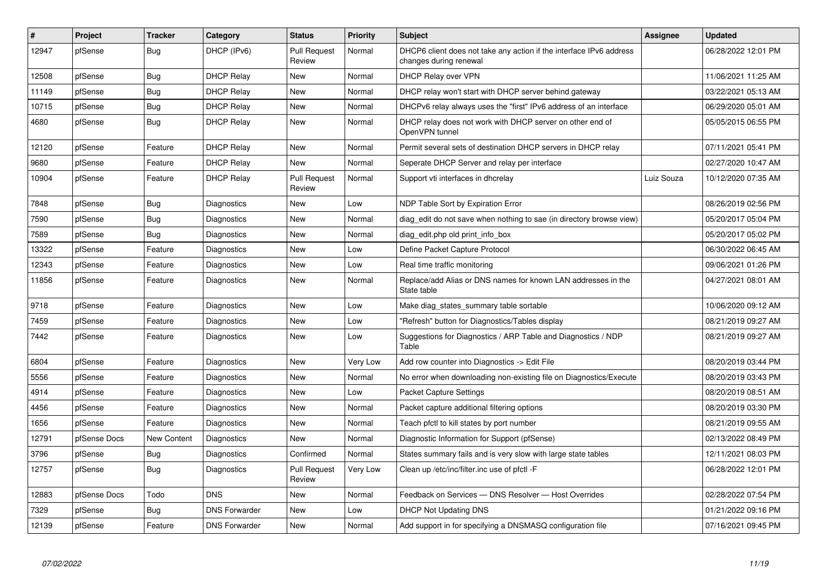| $\sharp$ | Project      | <b>Tracker</b>     | Category             | <b>Status</b>                 | <b>Priority</b> | <b>Subject</b>                                                                                | Assignee   | <b>Updated</b>      |
|----------|--------------|--------------------|----------------------|-------------------------------|-----------------|-----------------------------------------------------------------------------------------------|------------|---------------------|
| 12947    | pfSense      | <b>Bug</b>         | DHCP (IPv6)          | <b>Pull Request</b><br>Review | Normal          | DHCP6 client does not take any action if the interface IPv6 address<br>changes during renewal |            | 06/28/2022 12:01 PM |
| 12508    | pfSense      | Bug                | <b>DHCP Relay</b>    | <b>New</b>                    | Normal          | DHCP Relay over VPN                                                                           |            | 11/06/2021 11:25 AM |
| 11149    | pfSense      | Bug                | <b>DHCP Relay</b>    | <b>New</b>                    | Normal          | DHCP relay won't start with DHCP server behind gateway                                        |            | 03/22/2021 05:13 AM |
| 10715    | pfSense      | <b>Bug</b>         | <b>DHCP Relay</b>    | <b>New</b>                    | Normal          | DHCPv6 relay always uses the "first" IPv6 address of an interface                             |            | 06/29/2020 05:01 AM |
| 4680     | pfSense      | Bug                | <b>DHCP Relay</b>    | New                           | Normal          | DHCP relay does not work with DHCP server on other end of<br>OpenVPN tunnel                   |            | 05/05/2015 06:55 PM |
| 12120    | pfSense      | Feature            | <b>DHCP Relay</b>    | <b>New</b>                    | Normal          | Permit several sets of destination DHCP servers in DHCP relay                                 |            | 07/11/2021 05:41 PM |
| 9680     | pfSense      | Feature            | <b>DHCP Relay</b>    | New                           | Normal          | Seperate DHCP Server and relay per interface                                                  |            | 02/27/2020 10:47 AM |
| 10904    | pfSense      | Feature            | <b>DHCP Relay</b>    | <b>Pull Request</b><br>Review | Normal          | Support vti interfaces in dhcrelay                                                            | Luiz Souza | 10/12/2020 07:35 AM |
| 7848     | pfSense      | Bug                | Diagnostics          | <b>New</b>                    | Low             | NDP Table Sort by Expiration Error                                                            |            | 08/26/2019 02:56 PM |
| 7590     | pfSense      | Bug                | Diagnostics          | <b>New</b>                    | Normal          | diag_edit do not save when nothing to sae (in directory browse view)                          |            | 05/20/2017 05:04 PM |
| 7589     | pfSense      | <b>Bug</b>         | Diagnostics          | New                           | Normal          | diag edit.php old print info box                                                              |            | 05/20/2017 05:02 PM |
| 13322    | pfSense      | Feature            | Diagnostics          | <b>New</b>                    | Low             | Define Packet Capture Protocol                                                                |            | 06/30/2022 06:45 AM |
| 12343    | pfSense      | Feature            | Diagnostics          | New                           | Low             | Real time traffic monitoring                                                                  |            | 09/06/2021 01:26 PM |
| 11856    | pfSense      | Feature            | Diagnostics          | New                           | Normal          | Replace/add Alias or DNS names for known LAN addresses in the<br>State table                  |            | 04/27/2021 08:01 AM |
| 9718     | pfSense      | Feature            | Diagnostics          | New                           | Low             | Make diag_states_summary table sortable                                                       |            | 10/06/2020 09:12 AM |
| 7459     | pfSense      | Feature            | Diagnostics          | <b>New</b>                    | Low             | "Refresh" button for Diagnostics/Tables display                                               |            | 08/21/2019 09:27 AM |
| 7442     | pfSense      | Feature            | <b>Diagnostics</b>   | <b>New</b>                    | Low             | Suggestions for Diagnostics / ARP Table and Diagnostics / NDP<br>Table                        |            | 08/21/2019 09:27 AM |
| 6804     | pfSense      | Feature            | <b>Diagnostics</b>   | <b>New</b>                    | Very Low        | Add row counter into Diagnostics -> Edit File                                                 |            | 08/20/2019 03:44 PM |
| 5556     | pfSense      | Feature            | Diagnostics          | <b>New</b>                    | Normal          | No error when downloading non-existing file on Diagnostics/Execute                            |            | 08/20/2019 03:43 PM |
| 4914     | pfSense      | Feature            | Diagnostics          | <b>New</b>                    | Low             | Packet Capture Settings                                                                       |            | 08/20/2019 08:51 AM |
| 4456     | pfSense      | Feature            | <b>Diagnostics</b>   | <b>New</b>                    | Normal          | Packet capture additional filtering options                                                   |            | 08/20/2019 03:30 PM |
| 1656     | pfSense      | Feature            | Diagnostics          | <b>New</b>                    | Normal          | Teach pfctl to kill states by port number                                                     |            | 08/21/2019 09:55 AM |
| 12791    | pfSense Docs | <b>New Content</b> | Diagnostics          | <b>New</b>                    | Normal          | Diagnostic Information for Support (pfSense)                                                  |            | 02/13/2022 08:49 PM |
| 3796     | pfSense      | <b>Bug</b>         | Diagnostics          | Confirmed                     | Normal          | States summary fails and is very slow with large state tables                                 |            | 12/11/2021 08:03 PM |
| 12757    | pfSense      | Bug                | Diagnostics          | <b>Pull Request</b><br>Review | Very Low        | Clean up /etc/inc/filter.inc use of pfctl -F                                                  |            | 06/28/2022 12:01 PM |
| 12883    | pfSense Docs | Todo               | <b>DNS</b>           | <b>New</b>                    | Normal          | Feedback on Services - DNS Resolver - Host Overrides                                          |            | 02/28/2022 07:54 PM |
| 7329     | pfSense      | Bug                | <b>DNS Forwarder</b> | <b>New</b>                    | Low             | <b>DHCP Not Updating DNS</b>                                                                  |            | 01/21/2022 09:16 PM |
| 12139    | pfSense      | Feature            | <b>DNS Forwarder</b> | <b>New</b>                    | Normal          | Add support in for specifying a DNSMASQ configuration file                                    |            | 07/16/2021 09:45 PM |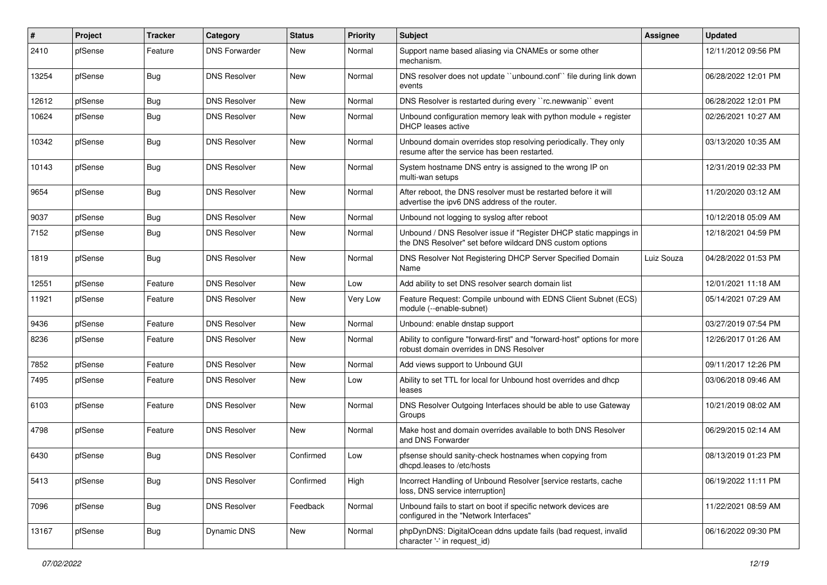| #     | Project | <b>Tracker</b> | Category             | <b>Status</b> | <b>Priority</b> | Subject                                                                                                                       | Assignee   | <b>Updated</b>      |
|-------|---------|----------------|----------------------|---------------|-----------------|-------------------------------------------------------------------------------------------------------------------------------|------------|---------------------|
| 2410  | pfSense | Feature        | <b>DNS Forwarder</b> | New           | Normal          | Support name based aliasing via CNAMEs or some other<br>mechanism.                                                            |            | 12/11/2012 09:56 PM |
| 13254 | pfSense | Bug            | <b>DNS Resolver</b>  | New           | Normal          | DNS resolver does not update "unbound.conf" file during link down<br>events                                                   |            | 06/28/2022 12:01 PM |
| 12612 | pfSense | Bug            | <b>DNS Resolver</b>  | New           | Normal          | DNS Resolver is restarted during every "rc.newwanip" event                                                                    |            | 06/28/2022 12:01 PM |
| 10624 | pfSense | Bug            | <b>DNS Resolver</b>  | New           | Normal          | Unbound configuration memory leak with python module $+$ register<br>DHCP leases active                                       |            | 02/26/2021 10:27 AM |
| 10342 | pfSense | Bug            | <b>DNS Resolver</b>  | <b>New</b>    | Normal          | Unbound domain overrides stop resolving periodically. They only<br>resume after the service has been restarted.               |            | 03/13/2020 10:35 AM |
| 10143 | pfSense | Bug            | <b>DNS Resolver</b>  | New           | Normal          | System hostname DNS entry is assigned to the wrong IP on<br>multi-wan setups                                                  |            | 12/31/2019 02:33 PM |
| 9654  | pfSense | Bug            | <b>DNS Resolver</b>  | New           | Normal          | After reboot, the DNS resolver must be restarted before it will<br>advertise the ipv6 DNS address of the router.              |            | 11/20/2020 03:12 AM |
| 9037  | pfSense | Bug            | <b>DNS Resolver</b>  | New           | Normal          | Unbound not logging to syslog after reboot                                                                                    |            | 10/12/2018 05:09 AM |
| 7152  | pfSense | <b>Bug</b>     | <b>DNS Resolver</b>  | New           | Normal          | Unbound / DNS Resolver issue if "Register DHCP static mappings in<br>the DNS Resolver" set before wildcard DNS custom options |            | 12/18/2021 04:59 PM |
| 1819  | pfSense | Bug            | <b>DNS Resolver</b>  | New           | Normal          | DNS Resolver Not Registering DHCP Server Specified Domain<br>Name                                                             | Luiz Souza | 04/28/2022 01:53 PM |
| 12551 | pfSense | Feature        | <b>DNS Resolver</b>  | <b>New</b>    | Low             | Add ability to set DNS resolver search domain list                                                                            |            | 12/01/2021 11:18 AM |
| 11921 | pfSense | Feature        | <b>DNS Resolver</b>  | New           | Very Low        | Feature Request: Compile unbound with EDNS Client Subnet (ECS)<br>module (--enable-subnet)                                    |            | 05/14/2021 07:29 AM |
| 9436  | pfSense | Feature        | <b>DNS Resolver</b>  | New           | Normal          | Unbound: enable dnstap support                                                                                                |            | 03/27/2019 07:54 PM |
| 8236  | pfSense | Feature        | <b>DNS Resolver</b>  | New           | Normal          | Ability to configure "forward-first" and "forward-host" options for more<br>robust domain overrides in DNS Resolver           |            | 12/26/2017 01:26 AM |
| 7852  | pfSense | Feature        | <b>DNS Resolver</b>  | New           | Normal          | Add views support to Unbound GUI                                                                                              |            | 09/11/2017 12:26 PM |
| 7495  | pfSense | Feature        | <b>DNS Resolver</b>  | New           | Low             | Ability to set TTL for local for Unbound host overrides and dhcp<br>leases                                                    |            | 03/06/2018 09:46 AM |
| 6103  | pfSense | Feature        | <b>DNS Resolver</b>  | New           | Normal          | DNS Resolver Outgoing Interfaces should be able to use Gateway<br>Groups                                                      |            | 10/21/2019 08:02 AM |
| 4798  | pfSense | Feature        | <b>DNS Resolver</b>  | New           | Normal          | Make host and domain overrides available to both DNS Resolver<br>and DNS Forwarder                                            |            | 06/29/2015 02:14 AM |
| 6430  | pfSense | Bug            | <b>DNS Resolver</b>  | Confirmed     | Low             | pfsense should sanity-check hostnames when copying from<br>dhcpd.leases to /etc/hosts                                         |            | 08/13/2019 01:23 PM |
| 5413  | pfSense | <b>Bug</b>     | <b>DNS Resolver</b>  | Confirmed     | High            | Incorrect Handling of Unbound Resolver [service restarts, cache<br>loss, DNS service interruption]                            |            | 06/19/2022 11:11 PM |
| 7096  | pfSense | <b>Bug</b>     | <b>DNS Resolver</b>  | Feedback      | Normal          | Unbound fails to start on boot if specific network devices are<br>configured in the "Network Interfaces"                      |            | 11/22/2021 08:59 AM |
| 13167 | pfSense | Bug            | Dynamic DNS          | New           | Normal          | phpDynDNS: DigitalOcean ddns update fails (bad request, invalid<br>character '-' in request_id)                               |            | 06/16/2022 09:30 PM |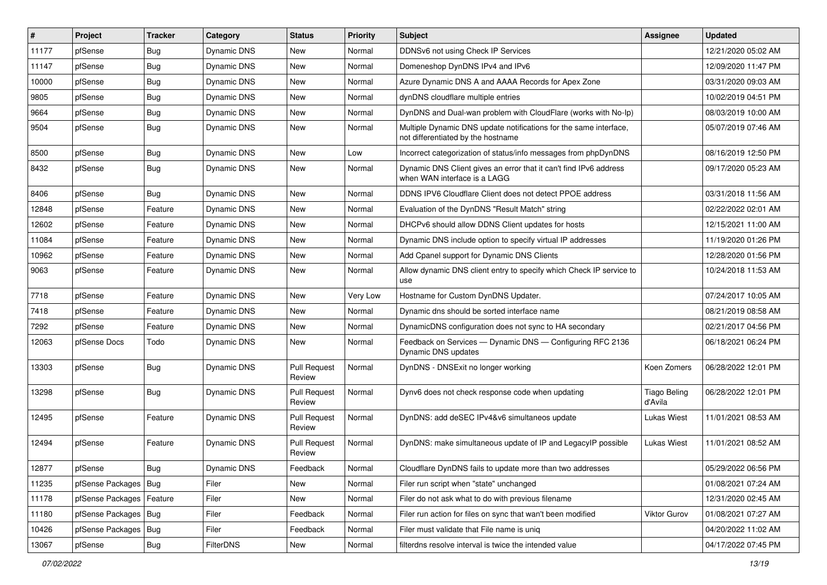| #     | Project                    | <b>Tracker</b> | Category           | <b>Status</b>                 | <b>Priority</b> | Subject                                                                                                 | <b>Assignee</b>                | <b>Updated</b>      |
|-------|----------------------------|----------------|--------------------|-------------------------------|-----------------|---------------------------------------------------------------------------------------------------------|--------------------------------|---------------------|
| 11177 | pfSense                    | <b>Bug</b>     | Dynamic DNS        | New                           | Normal          | DDNSv6 not using Check IP Services                                                                      |                                | 12/21/2020 05:02 AM |
| 11147 | pfSense                    | Bug            | Dynamic DNS        | New                           | Normal          | Domeneshop DynDNS IPv4 and IPv6                                                                         |                                | 12/09/2020 11:47 PM |
| 10000 | pfSense                    | <b>Bug</b>     | Dynamic DNS        | New                           | Normal          | Azure Dynamic DNS A and AAAA Records for Apex Zone                                                      |                                | 03/31/2020 09:03 AM |
| 9805  | pfSense                    | <b>Bug</b>     | Dynamic DNS        | <b>New</b>                    | Normal          | dynDNS cloudflare multiple entries                                                                      |                                | 10/02/2019 04:51 PM |
| 9664  | pfSense                    | Bug            | Dynamic DNS        | New                           | Normal          | DynDNS and Dual-wan problem with CloudFlare (works with No-Ip)                                          |                                | 08/03/2019 10:00 AM |
| 9504  | pfSense                    | <b>Bug</b>     | Dynamic DNS        | New                           | Normal          | Multiple Dynamic DNS update notifications for the same interface,<br>not differentiated by the hostname |                                | 05/07/2019 07:46 AM |
| 8500  | pfSense                    | Bug            | <b>Dynamic DNS</b> | New                           | Low             | Incorrect categorization of status/info messages from phpDynDNS                                         |                                | 08/16/2019 12:50 PM |
| 8432  | pfSense                    | Bug            | Dynamic DNS        | New                           | Normal          | Dynamic DNS Client gives an error that it can't find IPv6 address<br>when WAN interface is a LAGG       |                                | 09/17/2020 05:23 AM |
| 8406  | pfSense                    | Bug            | Dynamic DNS        | New                           | Normal          | DDNS IPV6 Cloudflare Client does not detect PPOE address                                                |                                | 03/31/2018 11:56 AM |
| 12848 | pfSense                    | Feature        | Dynamic DNS        | New                           | Normal          | Evaluation of the DynDNS "Result Match" string                                                          |                                | 02/22/2022 02:01 AM |
| 12602 | pfSense                    | Feature        | Dynamic DNS        | New                           | Normal          | DHCPv6 should allow DDNS Client updates for hosts                                                       |                                | 12/15/2021 11:00 AM |
| 11084 | pfSense                    | Feature        | Dynamic DNS        | New                           | Normal          | Dynamic DNS include option to specify virtual IP addresses                                              |                                | 11/19/2020 01:26 PM |
| 10962 | pfSense                    | Feature        | Dynamic DNS        | New                           | Normal          | Add Cpanel support for Dynamic DNS Clients                                                              |                                | 12/28/2020 01:56 PM |
| 9063  | pfSense                    | Feature        | <b>Dynamic DNS</b> | New                           | Normal          | Allow dynamic DNS client entry to specify which Check IP service to<br>use                              |                                | 10/24/2018 11:53 AM |
| 7718  | pfSense                    | Feature        | Dynamic DNS        | New                           | Very Low        | Hostname for Custom DynDNS Updater.                                                                     |                                | 07/24/2017 10:05 AM |
| 7418  | pfSense                    | Feature        | Dynamic DNS        | New                           | Normal          | Dynamic dns should be sorted interface name                                                             |                                | 08/21/2019 08:58 AM |
| 7292  | pfSense                    | Feature        | Dynamic DNS        | New                           | Normal          | DynamicDNS configuration does not sync to HA secondary                                                  |                                | 02/21/2017 04:56 PM |
| 12063 | pfSense Docs               | Todo           | Dynamic DNS        | New                           | Normal          | Feedback on Services - Dynamic DNS - Configuring RFC 2136<br>Dynamic DNS updates                        |                                | 06/18/2021 06:24 PM |
| 13303 | pfSense                    | Bug            | Dynamic DNS        | <b>Pull Request</b><br>Review | Normal          | DynDNS - DNSExit no longer working                                                                      | Koen Zomers                    | 06/28/2022 12:01 PM |
| 13298 | pfSense                    | <b>Bug</b>     | Dynamic DNS        | <b>Pull Request</b><br>Review | Normal          | Dynv6 does not check response code when updating                                                        | <b>Tiago Beling</b><br>d'Avila | 06/28/2022 12:01 PM |
| 12495 | pfSense                    | Feature        | Dynamic DNS        | <b>Pull Request</b><br>Review | Normal          | DynDNS: add deSEC IPv4&v6 simultaneos update                                                            | Lukas Wiest                    | 11/01/2021 08:53 AM |
| 12494 | pfSense                    | Feature        | Dynamic DNS        | <b>Pull Request</b><br>Review | Normal          | DynDNS: make simultaneous update of IP and LegacyIP possible                                            | Lukas Wiest                    | 11/01/2021 08:52 AM |
| 12877 | pfSense                    | <b>Bug</b>     | Dynamic DNS        | Feedback                      | Normal          | Cloudflare DynDNS fails to update more than two addresses                                               |                                | 05/29/2022 06:56 PM |
| 11235 | pfSense Packages   Bug     |                | Filer              | New                           | Normal          | Filer run script when "state" unchanged                                                                 |                                | 01/08/2021 07:24 AM |
| 11178 | pfSense Packages   Feature |                | Filer              | New                           | Normal          | Filer do not ask what to do with previous filename                                                      |                                | 12/31/2020 02:45 AM |
| 11180 | pfSense Packages   Bug     |                | Filer              | Feedback                      | Normal          | Filer run action for files on sync that wan't been modified                                             | <b>Viktor Gurov</b>            | 01/08/2021 07:27 AM |
| 10426 | pfSense Packages   Bug     |                | Filer              | Feedback                      | Normal          | Filer must validate that File name is uniq                                                              |                                | 04/20/2022 11:02 AM |
| 13067 | pfSense                    | Bug            | FilterDNS          | New                           | Normal          | filterdns resolve interval is twice the intended value                                                  |                                | 04/17/2022 07:45 PM |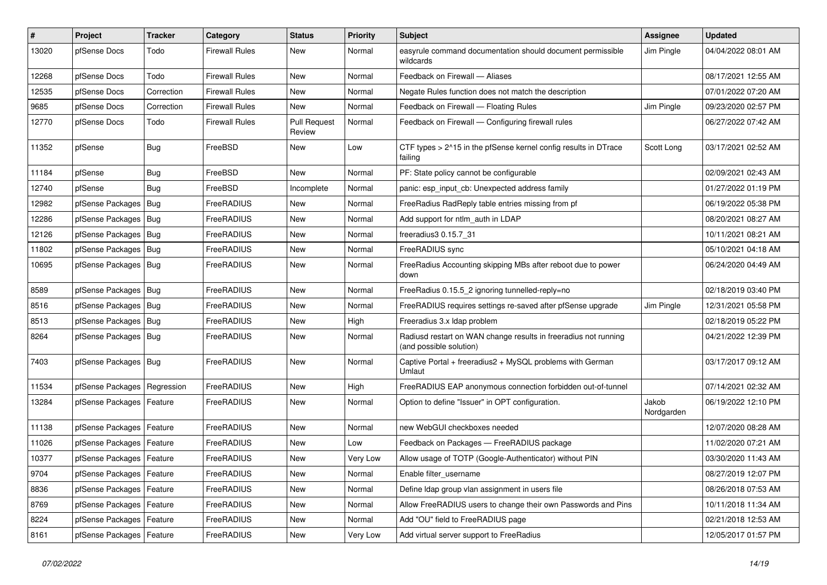| $\vert$ # | Project                    | <b>Tracker</b> | Category              | <b>Status</b>                 | <b>Priority</b> | <b>Subject</b>                                                                             | Assignee            | <b>Updated</b>      |
|-----------|----------------------------|----------------|-----------------------|-------------------------------|-----------------|--------------------------------------------------------------------------------------------|---------------------|---------------------|
| 13020     | pfSense Docs               | Todo           | <b>Firewall Rules</b> | New                           | Normal          | easyrule command documentation should document permissible<br>wildcards                    | Jim Pingle          | 04/04/2022 08:01 AM |
| 12268     | pfSense Docs               | Todo           | <b>Firewall Rules</b> | New                           | Normal          | Feedback on Firewall - Aliases                                                             |                     | 08/17/2021 12:55 AM |
| 12535     | pfSense Docs               | Correction     | <b>Firewall Rules</b> | New                           | Normal          | Negate Rules function does not match the description                                       |                     | 07/01/2022 07:20 AM |
| 9685      | pfSense Docs               | Correction     | <b>Firewall Rules</b> | <b>New</b>                    | Normal          | Feedback on Firewall - Floating Rules                                                      | Jim Pingle          | 09/23/2020 02:57 PM |
| 12770     | pfSense Docs               | Todo           | <b>Firewall Rules</b> | <b>Pull Request</b><br>Review | Normal          | Feedback on Firewall — Configuring firewall rules                                          |                     | 06/27/2022 07:42 AM |
| 11352     | pfSense                    | Bug            | FreeBSD               | <b>New</b>                    | Low             | CTF types > 2^15 in the pfSense kernel config results in DTrace<br>failing                 | Scott Long          | 03/17/2021 02:52 AM |
| 11184     | pfSense                    | <b>Bug</b>     | FreeBSD               | <b>New</b>                    | Normal          | PF: State policy cannot be configurable                                                    |                     | 02/09/2021 02:43 AM |
| 12740     | pfSense                    | <b>Bug</b>     | FreeBSD               | Incomplete                    | Normal          | panic: esp input cb: Unexpected address family                                             |                     | 01/27/2022 01:19 PM |
| 12982     | pfSense Packages           | Bug            | FreeRADIUS            | New                           | Normal          | FreeRadius RadReply table entries missing from pf                                          |                     | 06/19/2022 05:38 PM |
| 12286     | pfSense Packages           | Bug            | FreeRADIUS            | <b>New</b>                    | Normal          | Add support for ntlm_auth in LDAP                                                          |                     | 08/20/2021 08:27 AM |
| 12126     | pfSense Packages   Bug     |                | FreeRADIUS            | New                           | Normal          | freeradius3 0.15.7 31                                                                      |                     | 10/11/2021 08:21 AM |
| 11802     | pfSense Packages   Bug     |                | FreeRADIUS            | New                           | Normal          | FreeRADIUS sync                                                                            |                     | 05/10/2021 04:18 AM |
| 10695     | pfSense Packages   Bug     |                | FreeRADIUS            | <b>New</b>                    | Normal          | FreeRadius Accounting skipping MBs after reboot due to power<br>down                       |                     | 06/24/2020 04:49 AM |
| 8589      | pfSense Packages   Bug     |                | FreeRADIUS            | <b>New</b>                    | Normal          | FreeRadius 0.15.5_2 ignoring tunnelled-reply=no                                            |                     | 02/18/2019 03:40 PM |
| 8516      | pfSense Packages   Bug     |                | FreeRADIUS            | New                           | Normal          | FreeRADIUS requires settings re-saved after pfSense upgrade                                | Jim Pingle          | 12/31/2021 05:58 PM |
| 8513      | pfSense Packages   Bug     |                | FreeRADIUS            | New                           | High            | Freeradius 3.x Idap problem                                                                |                     | 02/18/2019 05:22 PM |
| 8264      | pfSense Packages   Bug     |                | FreeRADIUS            | New                           | Normal          | Radiusd restart on WAN change results in freeradius not running<br>(and possible solution) |                     | 04/21/2022 12:39 PM |
| 7403      | pfSense Packages   Bug     |                | FreeRADIUS            | <b>New</b>                    | Normal          | Captive Portal + freeradius2 + MySQL problems with German<br>Umlaut                        |                     | 03/17/2017 09:12 AM |
| 11534     | pfSense Packages           | Regression     | FreeRADIUS            | <b>New</b>                    | High            | FreeRADIUS EAP anonymous connection forbidden out-of-tunnel                                |                     | 07/14/2021 02:32 AM |
| 13284     | pfSense Packages   Feature |                | FreeRADIUS            | New                           | Normal          | Option to define "Issuer" in OPT configuration.                                            | Jakob<br>Nordgarden | 06/19/2022 12:10 PM |
| 11138     | pfSense Packages   Feature |                | FreeRADIUS            | <b>New</b>                    | Normal          | new WebGUI checkboxes needed                                                               |                     | 12/07/2020 08:28 AM |
| 11026     | pfSense Packages           | Feature        | FreeRADIUS            | <b>New</b>                    | Low             | Feedback on Packages - FreeRADIUS package                                                  |                     | 11/02/2020 07:21 AM |
| 10377     | pfSense Packages   Feature |                | FreeRADIUS            | New                           | Very Low        | Allow usage of TOTP (Google-Authenticator) without PIN                                     |                     | 03/30/2020 11:43 AM |
| 9704      | pfSense Packages   Feature |                | FreeRADIUS            | New                           | Normal          | Enable filter_username                                                                     |                     | 08/27/2019 12:07 PM |
| 8836      | pfSense Packages   Feature |                | FreeRADIUS            | New                           | Normal          | Define Idap group vlan assignment in users file                                            |                     | 08/26/2018 07:53 AM |
| 8769      | pfSense Packages   Feature |                | FreeRADIUS            | New                           | Normal          | Allow FreeRADIUS users to change their own Passwords and Pins                              |                     | 10/11/2018 11:34 AM |
| 8224      | pfSense Packages   Feature |                | FreeRADIUS            | New                           | Normal          | Add "OU" field to FreeRADIUS page                                                          |                     | 02/21/2018 12:53 AM |
| 8161      | pfSense Packages   Feature |                | FreeRADIUS            | New                           | Very Low        | Add virtual server support to FreeRadius                                                   |                     | 12/05/2017 01:57 PM |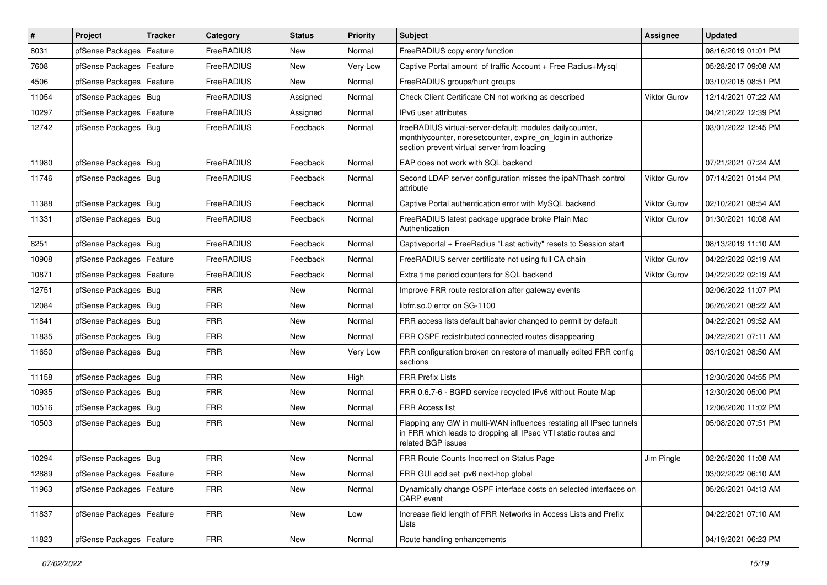| $\vert$ # | Project                    | <b>Tracker</b> | Category   | <b>Status</b> | <b>Priority</b> | <b>Subject</b>                                                                                                                                                          | Assignee            | <b>Updated</b>      |
|-----------|----------------------------|----------------|------------|---------------|-----------------|-------------------------------------------------------------------------------------------------------------------------------------------------------------------------|---------------------|---------------------|
| 8031      | pfSense Packages           | Feature        | FreeRADIUS | New           | Normal          | FreeRADIUS copy entry function                                                                                                                                          |                     | 08/16/2019 01:01 PM |
| 7608      | pfSense Packages           | Feature        | FreeRADIUS | <b>New</b>    | Very Low        | Captive Portal amount of traffic Account + Free Radius+Mysql                                                                                                            |                     | 05/28/2017 09:08 AM |
| 4506      | pfSense Packages           | Feature        | FreeRADIUS | New           | Normal          | FreeRADIUS groups/hunt groups                                                                                                                                           |                     | 03/10/2015 08:51 PM |
| 11054     | pfSense Packages           | Bug            | FreeRADIUS | Assigned      | Normal          | Check Client Certificate CN not working as described                                                                                                                    | Viktor Gurov        | 12/14/2021 07:22 AM |
| 10297     | pfSense Packages           | Feature        | FreeRADIUS | Assigned      | Normal          | IPv6 user attributes                                                                                                                                                    |                     | 04/21/2022 12:39 PM |
| 12742     | pfSense Packages           | <b>Bug</b>     | FreeRADIUS | Feedback      | Normal          | freeRADIUS virtual-server-default: modules dailycounter,<br>monthlycounter, noresetcounter, expire_on_login in authorize<br>section prevent virtual server from loading |                     | 03/01/2022 12:45 PM |
| 11980     | pfSense Packages           | Bug            | FreeRADIUS | Feedback      | Normal          | EAP does not work with SQL backend                                                                                                                                      |                     | 07/21/2021 07:24 AM |
| 11746     | pfSense Packages   Bug     |                | FreeRADIUS | Feedback      | Normal          | Second LDAP server configuration misses the ipaNThash control<br>attribute                                                                                              | <b>Viktor Gurov</b> | 07/14/2021 01:44 PM |
| 11388     | pfSense Packages           | Bug            | FreeRADIUS | Feedback      | Normal          | Captive Portal authentication error with MySQL backend                                                                                                                  | Viktor Gurov        | 02/10/2021 08:54 AM |
| 11331     | pfSense Packages           | Bug            | FreeRADIUS | Feedback      | Normal          | FreeRADIUS latest package upgrade broke Plain Mac<br>Authentication                                                                                                     | <b>Viktor Gurov</b> | 01/30/2021 10:08 AM |
| 8251      | pfSense Packages   Bug     |                | FreeRADIUS | Feedback      | Normal          | Captiveportal + FreeRadius "Last activity" resets to Session start                                                                                                      |                     | 08/13/2019 11:10 AM |
| 10908     | pfSense Packages           | Feature        | FreeRADIUS | Feedback      | Normal          | FreeRADIUS server certificate not using full CA chain                                                                                                                   | <b>Viktor Gurov</b> | 04/22/2022 02:19 AM |
| 10871     | pfSense Packages           | Feature        | FreeRADIUS | Feedback      | Normal          | Extra time period counters for SQL backend                                                                                                                              | <b>Viktor Gurov</b> | 04/22/2022 02:19 AM |
| 12751     | pfSense Packages           | Bug            | <b>FRR</b> | <b>New</b>    | Normal          | Improve FRR route restoration after gateway events                                                                                                                      |                     | 02/06/2022 11:07 PM |
| 12084     | pfSense Packages           | Bug            | <b>FRR</b> | New           | Normal          | libfrr.so.0 error on SG-1100                                                                                                                                            |                     | 06/26/2021 08:22 AM |
| 11841     | pfSense Packages           | Bug            | <b>FRR</b> | <b>New</b>    | Normal          | FRR access lists default bahavior changed to permit by default                                                                                                          |                     | 04/22/2021 09:52 AM |
| 11835     | pfSense Packages           | Bug            | <b>FRR</b> | New           | Normal          | FRR OSPF redistributed connected routes disappearing                                                                                                                    |                     | 04/22/2021 07:11 AM |
| 11650     | pfSense Packages           | Bug            | <b>FRR</b> | <b>New</b>    | Very Low        | FRR configuration broken on restore of manually edited FRR config<br>sections                                                                                           |                     | 03/10/2021 08:50 AM |
| 11158     | pfSense Packages           | Bug            | <b>FRR</b> | <b>New</b>    | High            | <b>FRR Prefix Lists</b>                                                                                                                                                 |                     | 12/30/2020 04:55 PM |
| 10935     | pfSense Packages           | Bug            | FRR        | New           | Normal          | FRR 0.6.7-6 - BGPD service recycled IPv6 without Route Map                                                                                                              |                     | 12/30/2020 05:00 PM |
| 10516     | pfSense Packages           | Bug            | <b>FRR</b> | <b>New</b>    | Normal          | FRR Access list                                                                                                                                                         |                     | 12/06/2020 11:02 PM |
| 10503     | pfSense Packages           | Bug            | <b>FRR</b> | New           | Normal          | Flapping any GW in multi-WAN influences restating all IPsec tunnels<br>in FRR which leads to dropping all IPsec VTI static routes and<br>related BGP issues             |                     | 05/08/2020 07:51 PM |
| 10294     | pfSense Packages   Bug     |                | <b>FRR</b> | <b>New</b>    | Normal          | FRR Route Counts Incorrect on Status Page                                                                                                                               | Jim Pingle          | 02/26/2020 11:08 AM |
| 12889     | pfSense Packages   Feature |                | FRR        | New           | Normal          | FRR GUI add set ipv6 next-hop global                                                                                                                                    |                     | 03/02/2022 06:10 AM |
| 11963     | pfSense Packages           | Feature        | <b>FRR</b> | New           | Normal          | Dynamically change OSPF interface costs on selected interfaces on<br>CARP event                                                                                         |                     | 05/26/2021 04:13 AM |
| 11837     | pfSense Packages   Feature |                | FRR        | New           | Low             | Increase field length of FRR Networks in Access Lists and Prefix<br>Lists                                                                                               |                     | 04/22/2021 07:10 AM |
| 11823     | pfSense Packages           | Feature        | <b>FRR</b> | New           | Normal          | Route handling enhancements                                                                                                                                             |                     | 04/19/2021 06:23 PM |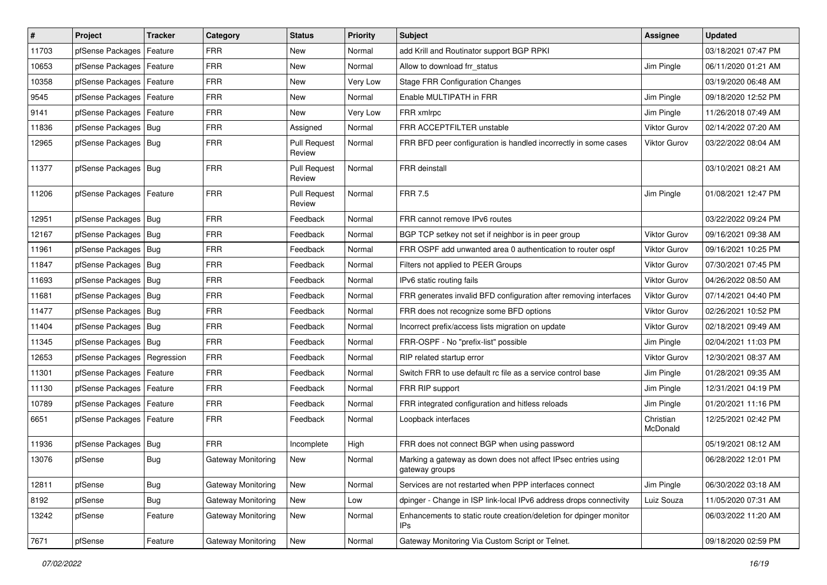| $\vert$ # | Project                    | <b>Tracker</b> | Category                  | <b>Status</b>                 | <b>Priority</b> | Subject                                                                         | Assignee              | <b>Updated</b>      |
|-----------|----------------------------|----------------|---------------------------|-------------------------------|-----------------|---------------------------------------------------------------------------------|-----------------------|---------------------|
| 11703     | pfSense Packages           | Feature        | <b>FRR</b>                | New                           | Normal          | add Krill and Routinator support BGP RPKI                                       |                       | 03/18/2021 07:47 PM |
| 10653     | pfSense Packages   Feature |                | <b>FRR</b>                | <b>New</b>                    | Normal          | Allow to download frr status                                                    | Jim Pingle            | 06/11/2020 01:21 AM |
| 10358     | pfSense Packages   Feature |                | <b>FRR</b>                | New                           | Very Low        | <b>Stage FRR Configuration Changes</b>                                          |                       | 03/19/2020 06:48 AM |
| 9545      | pfSense Packages   Feature |                | <b>FRR</b>                | New                           | Normal          | Enable MULTIPATH in FRR                                                         | Jim Pingle            | 09/18/2020 12:52 PM |
| 9141      | pfSense Packages           | Feature        | <b>FRR</b>                | <b>New</b>                    | Very Low        | FRR xmlrpc                                                                      | Jim Pingle            | 11/26/2018 07:49 AM |
| 11836     | pfSense Packages   Bug     |                | <b>FRR</b>                | Assigned                      | Normal          | FRR ACCEPTFILTER unstable                                                       | <b>Viktor Gurov</b>   | 02/14/2022 07:20 AM |
| 12965     | pfSense Packages   Bug     |                | <b>FRR</b>                | <b>Pull Request</b><br>Review | Normal          | FRR BFD peer configuration is handled incorrectly in some cases                 | <b>Viktor Gurov</b>   | 03/22/2022 08:04 AM |
| 11377     | pfSense Packages   Bug     |                | <b>FRR</b>                | <b>Pull Request</b><br>Review | Normal          | <b>FRR</b> deinstall                                                            |                       | 03/10/2021 08:21 AM |
| 11206     | pfSense Packages   Feature |                | <b>FRR</b>                | <b>Pull Request</b><br>Review | Normal          | <b>FRR 7.5</b>                                                                  | Jim Pingle            | 01/08/2021 12:47 PM |
| 12951     | pfSense Packages   Bug     |                | <b>FRR</b>                | Feedback                      | Normal          | FRR cannot remove IPv6 routes                                                   |                       | 03/22/2022 09:24 PM |
| 12167     | pfSense Packages   Bug     |                | <b>FRR</b>                | Feedback                      | Normal          | BGP TCP setkey not set if neighbor is in peer group                             | <b>Viktor Gurov</b>   | 09/16/2021 09:38 AM |
| 11961     | pfSense Packages   Bug     |                | <b>FRR</b>                | Feedback                      | Normal          | FRR OSPF add unwanted area 0 authentication to router ospf                      | <b>Viktor Gurov</b>   | 09/16/2021 10:25 PM |
| 11847     | pfSense Packages   Bug     |                | <b>FRR</b>                | Feedback                      | Normal          | Filters not applied to PEER Groups                                              | <b>Viktor Gurov</b>   | 07/30/2021 07:45 PM |
| 11693     | pfSense Packages   Bug     |                | <b>FRR</b>                | Feedback                      | Normal          | IPv6 static routing fails                                                       | Viktor Gurov          | 04/26/2022 08:50 AM |
| 11681     | pfSense Packages   Bug     |                | <b>FRR</b>                | Feedback                      | Normal          | FRR generates invalid BFD configuration after removing interfaces               | <b>Viktor Gurov</b>   | 07/14/2021 04:40 PM |
| 11477     | pfSense Packages   Bug     |                | <b>FRR</b>                | Feedback                      | Normal          | FRR does not recognize some BFD options                                         | Viktor Gurov          | 02/26/2021 10:52 PM |
| 11404     | pfSense Packages   Bug     |                | <b>FRR</b>                | Feedback                      | Normal          | Incorrect prefix/access lists migration on update                               | <b>Viktor Gurov</b>   | 02/18/2021 09:49 AM |
| 11345     | pfSense Packages   Bug     |                | <b>FRR</b>                | Feedback                      | Normal          | FRR-OSPF - No "prefix-list" possible                                            | Jim Pingle            | 02/04/2021 11:03 PM |
| 12653     | pfSense Packages           | Regression     | <b>FRR</b>                | Feedback                      | Normal          | RIP related startup error                                                       | <b>Viktor Gurov</b>   | 12/30/2021 08:37 AM |
| 11301     | pfSense Packages   Feature |                | <b>FRR</b>                | Feedback                      | Normal          | Switch FRR to use default rc file as a service control base                     | Jim Pingle            | 01/28/2021 09:35 AM |
| 11130     | pfSense Packages   Feature |                | <b>FRR</b>                | Feedback                      | Normal          | FRR RIP support                                                                 | Jim Pingle            | 12/31/2021 04:19 PM |
| 10789     | pfSense Packages   Feature |                | <b>FRR</b>                | Feedback                      | Normal          | FRR integrated configuration and hitless reloads                                | Jim Pingle            | 01/20/2021 11:16 PM |
| 6651      | pfSense Packages   Feature |                | <b>FRR</b>                | Feedback                      | Normal          | Loopback interfaces                                                             | Christian<br>McDonald | 12/25/2021 02:42 PM |
| 11936     | pfSense Packages   Bug     |                | <b>FRR</b>                | Incomplete                    | High            | FRR does not connect BGP when using password                                    |                       | 05/19/2021 08:12 AM |
| 13076     | pfSense                    | <b>Bug</b>     | Gateway Monitoring        | New                           | Normal          | Marking a gateway as down does not affect IPsec entries using<br>gateway groups |                       | 06/28/2022 12:01 PM |
| 12811     | pfSense                    | Bug            | <b>Gateway Monitoring</b> | New                           | Normal          | Services are not restarted when PPP interfaces connect                          | Jim Pingle            | 06/30/2022 03:18 AM |
| 8192      | pfSense                    | <b>Bug</b>     | Gateway Monitoring        | New                           | Low             | dpinger - Change in ISP link-local IPv6 address drops connectivity              | Luiz Souza            | 11/05/2020 07:31 AM |
| 13242     | pfSense                    | Feature        | Gateway Monitoring        | New                           | Normal          | Enhancements to static route creation/deletion for dpinger monitor<br>IPs       |                       | 06/03/2022 11:20 AM |
| 7671      | pfSense                    | Feature        | Gateway Monitoring        | New                           | Normal          | Gateway Monitoring Via Custom Script or Telnet.                                 |                       | 09/18/2020 02:59 PM |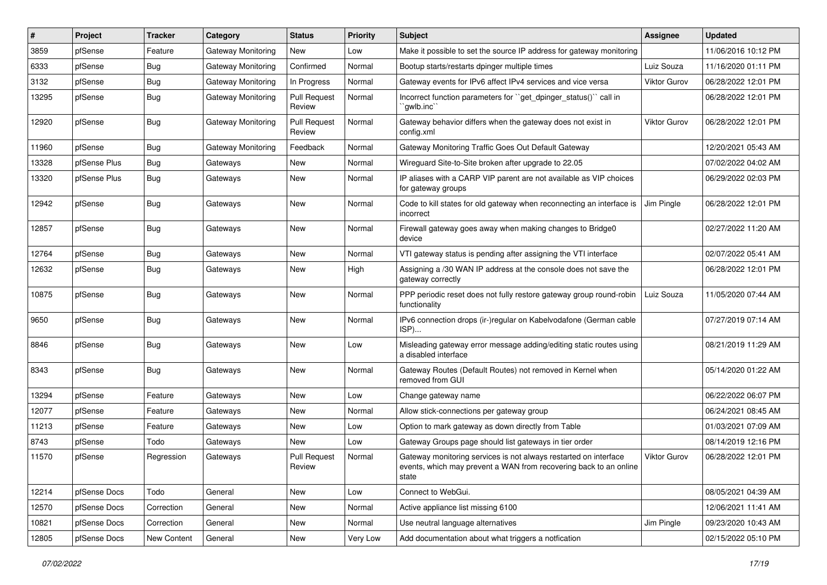| #     | Project      | <b>Tracker</b> | Category                  | <b>Status</b>                 | <b>Priority</b> | Subject                                                                                                                                        | <b>Assignee</b>     | <b>Updated</b>      |
|-------|--------------|----------------|---------------------------|-------------------------------|-----------------|------------------------------------------------------------------------------------------------------------------------------------------------|---------------------|---------------------|
| 3859  | pfSense      | Feature        | Gateway Monitoring        | New                           | Low             | Make it possible to set the source IP address for gateway monitoring                                                                           |                     | 11/06/2016 10:12 PM |
| 6333  | pfSense      | Bug            | Gateway Monitoring        | Confirmed                     | Normal          | Bootup starts/restarts dpinger multiple times                                                                                                  | Luiz Souza          | 11/16/2020 01:11 PM |
| 3132  | pfSense      | Bug            | Gateway Monitoring        | In Progress                   | Normal          | Gateway events for IPv6 affect IPv4 services and vice versa                                                                                    | <b>Viktor Gurov</b> | 06/28/2022 12:01 PM |
| 13295 | pfSense      | Bug            | <b>Gateway Monitoring</b> | <b>Pull Request</b><br>Review | Normal          | Incorrect function parameters for "get_dpinger_status()" call in<br>`qwlb.inc``                                                                |                     | 06/28/2022 12:01 PM |
| 12920 | pfSense      | Bug            | Gateway Monitoring        | <b>Pull Request</b><br>Review | Normal          | Gateway behavior differs when the gateway does not exist in<br>config.xml                                                                      | <b>Viktor Gurov</b> | 06/28/2022 12:01 PM |
| 11960 | pfSense      | Bug            | <b>Gateway Monitoring</b> | Feedback                      | Normal          | Gateway Monitoring Traffic Goes Out Default Gateway                                                                                            |                     | 12/20/2021 05:43 AM |
| 13328 | pfSense Plus | Bug            | Gateways                  | New                           | Normal          | Wireguard Site-to-Site broken after upgrade to 22.05                                                                                           |                     | 07/02/2022 04:02 AM |
| 13320 | pfSense Plus | Bug            | Gateways                  | New                           | Normal          | IP aliases with a CARP VIP parent are not available as VIP choices<br>for gateway groups                                                       |                     | 06/29/2022 02:03 PM |
| 12942 | pfSense      | Bug            | Gateways                  | New                           | Normal          | Code to kill states for old gateway when reconnecting an interface is<br>incorrect                                                             | Jim Pingle          | 06/28/2022 12:01 PM |
| 12857 | pfSense      | Bug            | Gateways                  | New                           | Normal          | Firewall gateway goes away when making changes to Bridge0<br>device                                                                            |                     | 02/27/2022 11:20 AM |
| 12764 | pfSense      | Bug            | Gateways                  | New                           | Normal          | VTI gateway status is pending after assigning the VTI interface                                                                                |                     | 02/07/2022 05:41 AM |
| 12632 | pfSense      | Bug            | Gateways                  | New                           | High            | Assigning a /30 WAN IP address at the console does not save the<br>gateway correctly                                                           |                     | 06/28/2022 12:01 PM |
| 10875 | pfSense      | Bug            | Gateways                  | New                           | Normal          | PPP periodic reset does not fully restore gateway group round-robin<br>functionality                                                           | Luiz Souza          | 11/05/2020 07:44 AM |
| 9650  | pfSense      | Bug            | Gateways                  | New                           | Normal          | IPv6 connection drops (ir-)regular on Kabelvodafone (German cable<br>ISP)                                                                      |                     | 07/27/2019 07:14 AM |
| 8846  | pfSense      | Bug            | Gateways                  | New                           | Low             | Misleading gateway error message adding/editing static routes using<br>a disabled interface                                                    |                     | 08/21/2019 11:29 AM |
| 8343  | pfSense      | Bug            | Gateways                  | New                           | Normal          | Gateway Routes (Default Routes) not removed in Kernel when<br>removed from GUI                                                                 |                     | 05/14/2020 01:22 AM |
| 13294 | pfSense      | Feature        | Gateways                  | New                           | Low             | Change gateway name                                                                                                                            |                     | 06/22/2022 06:07 PM |
| 12077 | pfSense      | Feature        | Gateways                  | New                           | Normal          | Allow stick-connections per gateway group                                                                                                      |                     | 06/24/2021 08:45 AM |
| 11213 | pfSense      | Feature        | Gateways                  | New                           | Low             | Option to mark gateway as down directly from Table                                                                                             |                     | 01/03/2021 07:09 AM |
| 8743  | pfSense      | Todo           | Gateways                  | <b>New</b>                    | Low             | Gateway Groups page should list gateways in tier order                                                                                         |                     | 08/14/2019 12:16 PM |
| 11570 | pfSense      | Regression     | Gateways                  | <b>Pull Request</b><br>Review | Normal          | Gateway monitoring services is not always restarted on interface<br>events, which may prevent a WAN from recovering back to an online<br>state | <b>Viktor Gurov</b> | 06/28/2022 12:01 PM |
| 12214 | pfSense Docs | Todo           | General                   | New                           | Low             | Connect to WebGui.                                                                                                                             |                     | 08/05/2021 04:39 AM |
| 12570 | pfSense Docs | Correction     | General                   | New                           | Normal          | Active appliance list missing 6100                                                                                                             |                     | 12/06/2021 11:41 AM |
| 10821 | pfSense Docs | Correction     | General                   | New                           | Normal          | Use neutral language alternatives                                                                                                              | Jim Pingle          | 09/23/2020 10:43 AM |
| 12805 | pfSense Docs | New Content    | General                   | New                           | Very Low        | Add documentation about what triggers a notfication                                                                                            |                     | 02/15/2022 05:10 PM |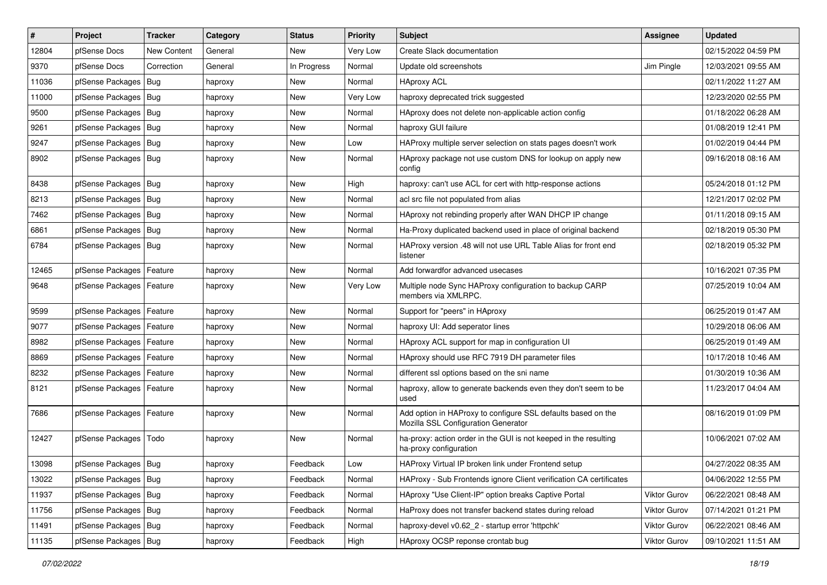| #     | Project                    | <b>Tracker</b>     | Category | <b>Status</b> | <b>Priority</b> | Subject                                                                                             | <b>Assignee</b> | <b>Updated</b>      |
|-------|----------------------------|--------------------|----------|---------------|-----------------|-----------------------------------------------------------------------------------------------------|-----------------|---------------------|
| 12804 | pfSense Docs               | <b>New Content</b> | General  | New           | Very Low        | Create Slack documentation                                                                          |                 | 02/15/2022 04:59 PM |
| 9370  | pfSense Docs               | Correction         | General  | In Progress   | Normal          | Update old screenshots                                                                              | Jim Pingle      | 12/03/2021 09:55 AM |
| 11036 | pfSense Packages           | Bug                | haproxy  | New           | Normal          | <b>HAproxy ACL</b>                                                                                  |                 | 02/11/2022 11:27 AM |
| 11000 | pfSense Packages   Bug     |                    | haproxy  | New           | Very Low        | haproxy deprecated trick suggested                                                                  |                 | 12/23/2020 02:55 PM |
| 9500  | pfSense Packages           | Bug                | haproxy  | New           | Normal          | HAproxy does not delete non-applicable action config                                                |                 | 01/18/2022 06:28 AM |
| 9261  | pfSense Packages   Bug     |                    | haproxy  | New           | Normal          | haproxy GUI failure                                                                                 |                 | 01/08/2019 12:41 PM |
| 9247  | pfSense Packages   Bug     |                    | haproxy  | <b>New</b>    | Low             | HAProxy multiple server selection on stats pages doesn't work                                       |                 | 01/02/2019 04:44 PM |
| 8902  | pfSense Packages   Bug     |                    | haproxy  | New           | Normal          | HAproxy package not use custom DNS for lookup on apply new<br>config                                |                 | 09/16/2018 08:16 AM |
| 8438  | pfSense Packages   Bug     |                    | haproxy  | New           | High            | haproxy: can't use ACL for cert with http-response actions                                          |                 | 05/24/2018 01:12 PM |
| 8213  | pfSense Packages   Bug     |                    | haproxy  | New           | Normal          | acl src file not populated from alias                                                               |                 | 12/21/2017 02:02 PM |
| 7462  | pfSense Packages   Bug     |                    | haproxy  | New           | Normal          | HAproxy not rebinding properly after WAN DHCP IP change                                             |                 | 01/11/2018 09:15 AM |
| 6861  | pfSense Packages           | Bug                | haproxy  | <b>New</b>    | Normal          | Ha-Proxy duplicated backend used in place of original backend                                       |                 | 02/18/2019 05:30 PM |
| 6784  | pfSense Packages   Bug     |                    | haproxy  | New           | Normal          | HAProxy version .48 will not use URL Table Alias for front end<br>listener                          |                 | 02/18/2019 05:32 PM |
| 12465 | pfSense Packages   Feature |                    | haproxy  | New           | Normal          | Add forwardfor advanced usecases                                                                    |                 | 10/16/2021 07:35 PM |
| 9648  | pfSense Packages   Feature |                    | haproxy  | New           | Very Low        | Multiple node Sync HAProxy configuration to backup CARP<br>members via XMLRPC.                      |                 | 07/25/2019 10:04 AM |
| 9599  | pfSense Packages           | Feature            | haproxy  | <b>New</b>    | Normal          | Support for "peers" in HAproxy                                                                      |                 | 06/25/2019 01:47 AM |
| 9077  | pfSense Packages   Feature |                    | haproxy  | New           | Normal          | haproxy UI: Add seperator lines                                                                     |                 | 10/29/2018 06:06 AM |
| 8982  | pfSense Packages           | Feature            | haproxy  | <b>New</b>    | Normal          | HAproxy ACL support for map in configuration UI                                                     |                 | 06/25/2019 01:49 AM |
| 8869  | pfSense Packages   Feature |                    | haproxy  | New           | Normal          | HAproxy should use RFC 7919 DH parameter files                                                      |                 | 10/17/2018 10:46 AM |
| 8232  | pfSense Packages           | Feature            | haproxy  | <b>New</b>    | Normal          | different ssl options based on the sni name                                                         |                 | 01/30/2019 10:36 AM |
| 8121  | pfSense Packages   Feature |                    | haproxy  | New           | Normal          | haproxy, allow to generate backends even they don't seem to be<br>used                              |                 | 11/23/2017 04:04 AM |
| 7686  | pfSense Packages   Feature |                    | haproxy  | New           | Normal          | Add option in HAProxy to configure SSL defaults based on the<br>Mozilla SSL Configuration Generator |                 | 08/16/2019 01:09 PM |
| 12427 | pfSense Packages           | Todo               | haproxy  | New           | Normal          | ha-proxy: action order in the GUI is not keeped in the resulting<br>ha-proxy configuration          |                 | 10/06/2021 07:02 AM |
| 13098 | pfSense Packages   Bug     |                    | haproxy  | Feedback      | Low             | HAProxy Virtual IP broken link under Frontend setup                                                 |                 | 04/27/2022 08:35 AM |
| 13022 | pfSense Packages   Bug     |                    | haproxy  | Feedback      | Normal          | HAProxy - Sub Frontends ignore Client verification CA certificates                                  |                 | 04/06/2022 12:55 PM |
| 11937 | pfSense Packages   Bug     |                    | haproxy  | Feedback      | Normal          | HAproxy "Use Client-IP" option breaks Captive Portal                                                | Viktor Gurov    | 06/22/2021 08:48 AM |
| 11756 | pfSense Packages   Bug     |                    | haproxy  | Feedback      | Normal          | HaProxy does not transfer backend states during reload                                              | Viktor Gurov    | 07/14/2021 01:21 PM |
| 11491 | pfSense Packages   Bug     |                    | haproxy  | Feedback      | Normal          | haproxy-devel v0.62_2 - startup error 'httpchk'                                                     | Viktor Gurov    | 06/22/2021 08:46 AM |
| 11135 | pfSense Packages   Bug     |                    | haproxy  | Feedback      | High            | HAproxy OCSP reponse crontab bug                                                                    | Viktor Gurov    | 09/10/2021 11:51 AM |